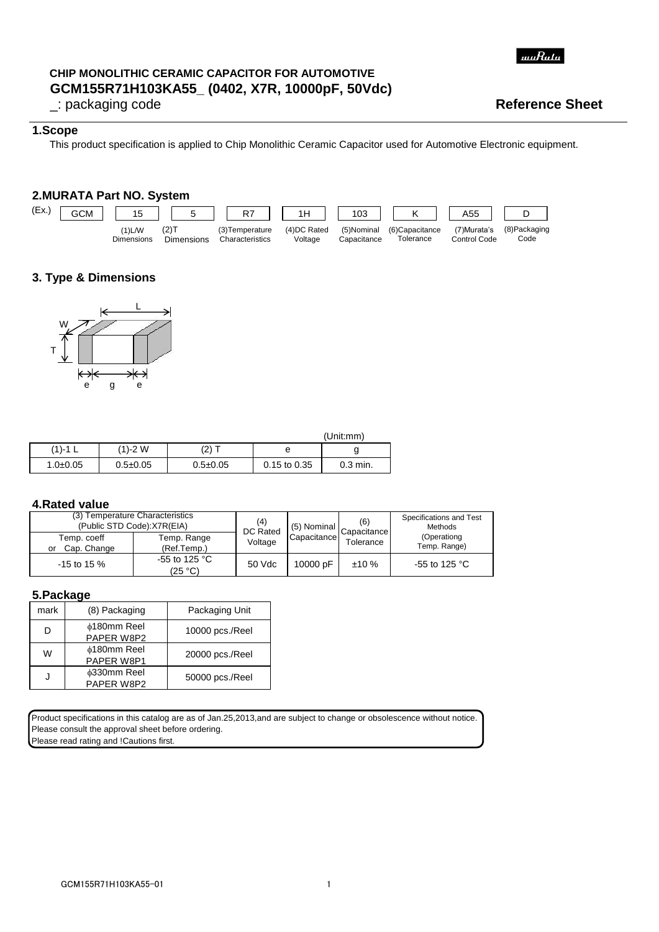

# **GCM155R71H103KA55\_ (0402, X7R, 10000pF, 50Vdc) CHIP MONOLITHIC CERAMIC CAPACITOR FOR AUTOMOTIVE**

## \_: packaging code **Reference Sheet**

## **1.Scope**

This product specification is applied to Chip Monolithic Ceramic Capacitor used for Automotive Electronic equipment.

# **2.MURATA Part NO. System**



# **3. Type & Dimensions**



|                |                |                |                  | (Unit:mm)  |
|----------------|----------------|----------------|------------------|------------|
| $(1) - 1$ L    | (1)-2 W        | $(2)$ T        |                  |            |
| $1.0 \pm 0.05$ | $0.5 \pm 0.05$ | $0.5 \pm 0.05$ | $0.15$ to $0.35$ | $0.3$ min. |

#### **4.Rated value**

| (3) Temperature Characteristics<br>(Public STD Code):X7R(EIA) | (4)<br>DC Rated            | $\begin{array}{ c c c }\n\hline\n\hline\n\end{array}$   (5) Nominal $\begin{array}{ c c }\n\hline\n\end{array}$ Capacitance I | (6)         | Specifications and Test<br>Methods |                             |
|---------------------------------------------------------------|----------------------------|-------------------------------------------------------------------------------------------------------------------------------|-------------|------------------------------------|-----------------------------|
| Temp. coeff<br>Cap. Change<br>or                              | Temp. Range<br>(Ref.Temp.) | Voltage                                                                                                                       | Capacitance | Tolerance                          | (Operationg<br>Temp. Range) |
| $-15$ to 15 %                                                 | -55 to 125 °C<br>(25 °C)   | 50 Vdc                                                                                                                        | 10000 pF    | ±10%                               | -55 to 125 $^{\circ}$ C     |

#### **5.Package**

| mark | (8) Packaging                         | Packaging Unit  |
|------|---------------------------------------|-----------------|
| D    | ∲180mm Reel<br>PAPER W8P2             | 10000 pcs./Reel |
| W    | <b>¢180mm Reel</b><br>PAPER W8P1      | 20000 pcs./Reel |
|      | <sup>b</sup> 330mm Reel<br>PAPER W8P2 | 50000 pcs./Reel |

Product specifications in this catalog are as of Jan.25,2013,and are subject to change or obsolescence without notice. Please consult the approval sheet before ordering. Please read rating and !Cautions first.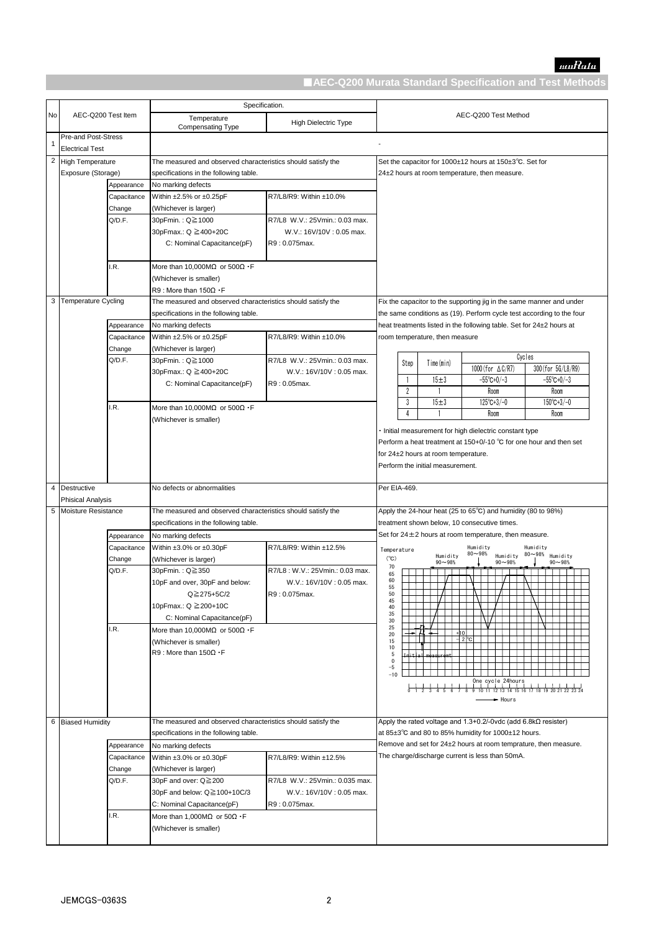

|                |                            |             | Specification.                                               |                                 |                                                         |                                                                    |                                  |                                                                                        |                      |
|----------------|----------------------------|-------------|--------------------------------------------------------------|---------------------------------|---------------------------------------------------------|--------------------------------------------------------------------|----------------------------------|----------------------------------------------------------------------------------------|----------------------|
| No             | AEC-Q200 Test Item         |             | Temperature                                                  |                                 |                                                         |                                                                    |                                  | AEC-Q200 Test Method                                                                   |                      |
|                |                            |             | Compensating Type                                            | High Dielectric Type            |                                                         |                                                                    |                                  |                                                                                        |                      |
|                | <b>Pre-and Post-Stress</b> |             |                                                              |                                 |                                                         |                                                                    |                                  |                                                                                        |                      |
| 1              | <b>Electrical Test</b>     |             |                                                              |                                 |                                                         |                                                                    |                                  |                                                                                        |                      |
| $\overline{c}$ | <b>High Temperature</b>    |             | The measured and observed characteristics should satisfy the |                                 | Set the capacitor for 1000±12 hours at 150±3°C. Set for |                                                                    |                                  |                                                                                        |                      |
|                | Exposure (Storage)         |             | specifications in the following table.                       |                                 |                                                         |                                                                    |                                  | 24±2 hours at room temperature, then measure.                                          |                      |
|                |                            | Appearance  | No marking defects                                           |                                 |                                                         |                                                                    |                                  |                                                                                        |                      |
|                |                            | Capacitance | Within ±2.5% or ±0.25pF                                      | R7/L8/R9: Within ±10.0%         |                                                         |                                                                    |                                  |                                                                                        |                      |
|                |                            | Change      | (Whichever is larger)                                        |                                 |                                                         |                                                                    |                                  |                                                                                        |                      |
|                |                            | Q/D.F.      | 30pFmin.: Q≧1000                                             | R7/L8 W.V.: 25Vmin.: 0.03 max.  |                                                         |                                                                    |                                  |                                                                                        |                      |
|                |                            |             |                                                              |                                 |                                                         |                                                                    |                                  |                                                                                        |                      |
|                |                            |             | 30pFmax.: Q ≧400+20C                                         | W.V.: 16V/10V: 0.05 max.        |                                                         |                                                                    |                                  |                                                                                        |                      |
|                |                            |             | C: Nominal Capacitance(pF)                                   | R9: 0.075max.                   |                                                         |                                                                    |                                  |                                                                                        |                      |
|                |                            |             |                                                              |                                 |                                                         |                                                                    |                                  |                                                                                        |                      |
|                |                            | I.R.        | More than 10,000M $\Omega$ or 500 $\Omega$ · F               |                                 |                                                         |                                                                    |                                  |                                                                                        |                      |
|                |                            |             | (Whichever is smaller)                                       |                                 |                                                         |                                                                    |                                  |                                                                                        |                      |
|                |                            |             | $R9:$ More than 150 $\Omega \cdot F$                         |                                 |                                                         |                                                                    |                                  |                                                                                        |                      |
| 3              | <b>Temperature Cycling</b> |             | The measured and observed characteristics should satisfy the |                                 |                                                         |                                                                    |                                  | Fix the capacitor to the supporting jig in the same manner and under                   |                      |
|                |                            |             | specifications in the following table.                       |                                 |                                                         |                                                                    |                                  | the same conditions as (19). Perform cycle test according to the four                  |                      |
|                |                            | Appearance  | No marking defects                                           |                                 |                                                         |                                                                    |                                  | heat treatments listed in the following table. Set for 24±2 hours at                   |                      |
|                |                            | Capacitance | Within ±2.5% or ±0.25pF                                      | R7/L8/R9: Within ±10.0%         |                                                         |                                                                    | room temperature, then measure   |                                                                                        |                      |
|                |                            | Change      | (Whichever is larger)                                        |                                 |                                                         |                                                                    |                                  |                                                                                        |                      |
|                |                            | Q/D.F.      | 30pFmin.: Q≧1000                                             | R7/L8 W.V.: 25Vmin.: 0.03 max.  |                                                         | Step                                                               | Time (min)                       |                                                                                        | Cycles               |
|                |                            |             | 30pFmax.: Q ≧400+20C                                         | W.V.: 16V/10V: 0.05 max.        |                                                         |                                                                    |                                  | 1000 (for △C/R7)                                                                       | 300 (for 5G/L8/R9)   |
|                |                            |             | C: Nominal Capacitance(pF)                                   | R9:0.05max.                     |                                                         | -1                                                                 | $15 \pm 3$                       | -55°C+0/-3                                                                             | $-55^{\circ}$ C+0/-3 |
|                |                            |             |                                                              |                                 |                                                         | 2                                                                  |                                  | Room                                                                                   | Room                 |
|                |                            | I.R.        | More than 10,000M $\Omega$ or 500 $\Omega$ · F               |                                 |                                                         | 3                                                                  | 15±3                             | $125^{\circ}$ C+3/-0                                                                   | $150^{\circ}$ C+3/-0 |
|                |                            |             | (Whichever is smaller)                                       |                                 |                                                         | 4                                                                  |                                  | Room                                                                                   | Room                 |
|                |                            |             |                                                              |                                 |                                                         |                                                                    |                                  | Initial measurement for high dielectric constant type                                  |                      |
|                |                            |             |                                                              |                                 |                                                         | Perform a heat treatment at 150+0/-10 °C for one hour and then set |                                  |                                                                                        |                      |
|                |                            |             |                                                              |                                 | for 24±2 hours at room temperature.                     |                                                                    |                                  |                                                                                        |                      |
|                |                            |             |                                                              |                                 |                                                         |                                                                    | Perform the initial measurement. |                                                                                        |                      |
|                |                            |             |                                                              |                                 |                                                         |                                                                    |                                  |                                                                                        |                      |
| 4              | Destructive                |             | No defects or abnormalities                                  |                                 | Per EIA-469.                                            |                                                                    |                                  |                                                                                        |                      |
|                | <b>Phisical Analysis</b>   |             |                                                              |                                 |                                                         |                                                                    |                                  |                                                                                        |                      |
| 5              | Moisture Resistance        |             | The measured and observed characteristics should satisfy the |                                 |                                                         |                                                                    |                                  | Apply the 24-hour heat (25 to $65^{\circ}$ C) and humidity (80 to 98%)                 |                      |
|                |                            |             | specifications in the following table.                       |                                 |                                                         |                                                                    |                                  | treatment shown below, 10 consecutive times.                                           |                      |
|                |                            | Appearance  | No marking defects                                           |                                 |                                                         |                                                                    |                                  | Set for $24 \pm 2$ hours at room temperature, then measure.                            |                      |
|                |                            |             |                                                              | R7/L8/R9: Within ±12.5%         |                                                         |                                                                    |                                  | Humidity                                                                               | Humidity             |
|                |                            | Capacitance | Within $\pm 3.0\%$ or $\pm 0.30$ pF                          |                                 | Temperature<br>$(^{\circ}C)$                            |                                                                    | Humidity                         | $80 - 98%$<br>Humidity                                                                 | 80~98% Humidity      |
|                |                            | Change      | (Whichever is larger)                                        |                                 | 70                                                      |                                                                    | $90 - 98%$                       | $90 - 98%$                                                                             | $90 - 98%$           |
|                |                            | Q/D.F.      | 30pFmin.: Q≧350                                              | R7/L8: W.V.: 25Vmin.: 0.03 max. | 65<br>60                                                |                                                                    |                                  |                                                                                        |                      |
|                |                            |             | 10pF and over, 30pF and below:                               | W.V.: 16V/10V: 0.05 max.        | 55                                                      |                                                                    |                                  |                                                                                        |                      |
|                |                            |             | Q≧275+5C/2                                                   | R9: 0.075max.                   | 50<br>45                                                |                                                                    |                                  |                                                                                        |                      |
|                |                            |             | 10pFmax.: Q ≧200+10C                                         |                                 | 40<br>35                                                |                                                                    |                                  |                                                                                        |                      |
|                |                            |             | C: Nominal Capacitance(pF)                                   |                                 | 30                                                      |                                                                    |                                  |                                                                                        |                      |
|                |                            | I.R.        | More than 10,000M $\Omega$ or 500 $\Omega$ · F               |                                 | 25<br>20                                                |                                                                    |                                  |                                                                                        |                      |
|                |                            |             | (Whichever is smaller)                                       |                                 | 15<br>10                                                |                                                                    |                                  | $-2$ $\degree$ C                                                                       |                      |
|                |                            |             | $R9:$ More than $150\Omega \cdot F$                          |                                 | 5                                                       |                                                                    |                                  |                                                                                        |                      |
|                |                            |             |                                                              |                                 | 0<br>-5                                                 |                                                                    |                                  |                                                                                        |                      |
|                |                            |             |                                                              |                                 | $-10$                                                   |                                                                    |                                  |                                                                                        |                      |
|                |                            |             |                                                              |                                 |                                                         |                                                                    |                                  | One cycle 24 hours<br>0 1 2 3 4 5 6 7 8 9 10 11 12 13 14 15 16 17 18 19 20 21 22 23 24 |                      |
|                |                            |             |                                                              |                                 |                                                         |                                                                    |                                  | $\rightarrow$ Hours                                                                    |                      |
|                |                            |             |                                                              |                                 |                                                         |                                                                    |                                  |                                                                                        |                      |
| 6              | <b>Biased Humidity</b>     |             | The measured and observed characteristics should satisfy the |                                 |                                                         |                                                                    |                                  | Apply the rated voltage and $1.3+0.2/-0$ vdc (add $6.8$ k $\Omega$ resister)           |                      |
|                |                            |             | specifications in the following table.                       |                                 |                                                         |                                                                    |                                  | at 85±3°C and 80 to 85% humidity for 1000±12 hours.                                    |                      |
|                |                            | Appearance  | No marking defects                                           |                                 |                                                         |                                                                    |                                  | Remove and set for 24±2 hours at room temprature, then measure.                        |                      |
|                |                            | Capacitance | Within $\pm 3.0\%$ or $\pm 0.30$ pF                          | R7/L8/R9: Within ±12.5%         |                                                         |                                                                    |                                  | The charge/discharge current is less than 50mA.                                        |                      |
|                |                            | Change      | (Whichever is larger)                                        |                                 |                                                         |                                                                    |                                  |                                                                                        |                      |
|                |                            | Q/D.F.      | 30pF and over: Q≧200                                         | R7/L8 W.V.: 25Vmin.: 0.035 max. |                                                         |                                                                    |                                  |                                                                                        |                      |
|                |                            |             | 30pF and below: Q≧100+10C/3                                  | W.V.: 16V/10V: 0.05 max.        |                                                         |                                                                    |                                  |                                                                                        |                      |
|                |                            |             |                                                              | R9: 0.075max.                   |                                                         |                                                                    |                                  |                                                                                        |                      |
|                |                            | I.R.        | C: Nominal Capacitance(pF)                                   |                                 |                                                         |                                                                    |                                  |                                                                                        |                      |
|                |                            |             | More than 1,000M $\Omega$ or 50 $\Omega$ · F                 |                                 |                                                         |                                                                    |                                  |                                                                                        |                      |
|                |                            |             | (Whichever is smaller)                                       |                                 |                                                         |                                                                    |                                  |                                                                                        |                      |
|                |                            |             |                                                              |                                 |                                                         |                                                                    |                                  |                                                                                        |                      |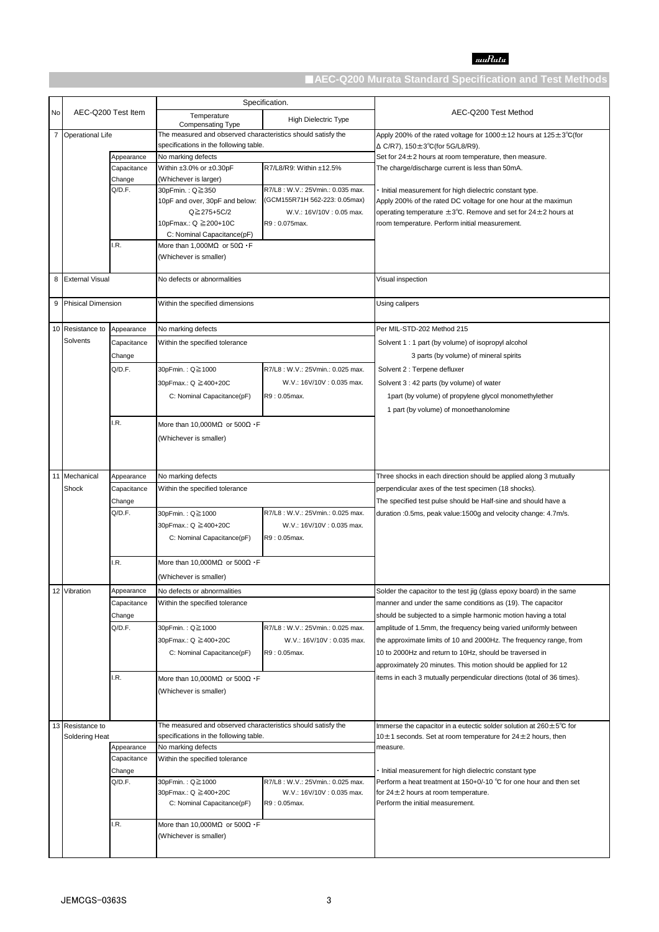# $muRata$

|    |                                               |                  |                                                                                                        | Specification.                   |                                                                                                                                      |
|----|-----------------------------------------------|------------------|--------------------------------------------------------------------------------------------------------|----------------------------------|--------------------------------------------------------------------------------------------------------------------------------------|
| No | AEC-Q200 Test Item                            |                  | Temperature<br>Compensating Type                                                                       | High Dielectric Type             | AEC-Q200 Test Method                                                                                                                 |
|    | 7 Operational Life                            |                  | The measured and observed characteristics should satisfy the<br>specifications in the following table. |                                  | Apply 200% of the rated voltage for $1000 \pm 12$ hours at $125 \pm 3^{\circ}$ C(for<br>$\Delta$ C/R7), 150 $\pm$ 3°C(for 5G/L8/R9). |
|    |                                               | Appearance       | No marking defects                                                                                     |                                  | Set for $24 \pm 2$ hours at room temperature, then measure.                                                                          |
|    |                                               | Capacitance      | Within $\pm 3.0\%$ or $\pm 0.30$ pF                                                                    | R7/L8/R9: Within ±12.5%          | The charge/discharge current is less than 50mA.                                                                                      |
|    |                                               | Change           | (Whichever is larger)                                                                                  |                                  |                                                                                                                                      |
|    |                                               | Q/D.F.           | 30pFmin. : Q≧350                                                                                       | R7/L8: W.V.: 25Vmin.: 0.035 max. | Initial measurement for high dielectric constant type.                                                                               |
|    |                                               |                  | 10pF and over, 30pF and below:                                                                         | (GCM155R71H 562-223: 0.05max)    | Apply 200% of the rated DC voltage for one hour at the maximun                                                                       |
|    |                                               |                  | Q≧275+5C/2                                                                                             | W.V.: 16V/10V: 0.05 max.         | operating temperature $\pm 3^{\circ}$ C. Remove and set for 24 $\pm$ 2 hours at                                                      |
|    |                                               |                  | 10pFmax.: Q ≥200+10C                                                                                   | R9: 0.075max.                    | room temperature. Perform initial measurement.                                                                                       |
|    |                                               |                  | C: Nominal Capacitance(pF)                                                                             |                                  |                                                                                                                                      |
|    |                                               | I.R.             | More than 1,000M $\Omega$ or 50 $\Omega$ · F                                                           |                                  |                                                                                                                                      |
|    |                                               |                  | (Whichever is smaller)                                                                                 |                                  |                                                                                                                                      |
|    |                                               |                  |                                                                                                        |                                  |                                                                                                                                      |
| 8  | <b>External Visual</b>                        |                  | No defects or abnormalities                                                                            |                                  | Visual inspection                                                                                                                    |
| 9  | <b>Phisical Dimension</b>                     |                  | Within the specified dimensions                                                                        |                                  | Using calipers                                                                                                                       |
|    | 10 Resistance to                              | Appearance       | No marking defects                                                                                     |                                  | Per MIL-STD-202 Method 215                                                                                                           |
|    | Solvents                                      | Capacitance      | Within the specified tolerance                                                                         |                                  | Solvent 1 : 1 part (by volume) of isopropyl alcohol                                                                                  |
|    |                                               | Change           |                                                                                                        |                                  | 3 parts (by volume) of mineral spirits                                                                                               |
|    |                                               | Q/D.F.           |                                                                                                        | R7/L8: W.V.: 25Vmin.: 0.025 max. |                                                                                                                                      |
|    |                                               |                  | 30pFmin.: Q≧1000                                                                                       |                                  | Solvent 2 : Terpene defluxer                                                                                                         |
|    |                                               |                  | 30pFmax.: Q ≧400+20C                                                                                   | W.V.: 16V/10V: 0.035 max.        | Solvent 3 : 42 parts (by volume) of water                                                                                            |
|    |                                               |                  | C: Nominal Capacitance(pF)                                                                             | R9: 0.05max.                     | 1part (by volume) of propylene glycol monomethylether                                                                                |
|    |                                               |                  |                                                                                                        |                                  | 1 part (by volume) of monoethanolomine                                                                                               |
|    |                                               | I.R.             | More than 10,000M $\Omega$ or 500 $\Omega$ · F                                                         |                                  |                                                                                                                                      |
|    |                                               |                  | (Whichever is smaller)                                                                                 |                                  |                                                                                                                                      |
|    |                                               |                  |                                                                                                        |                                  |                                                                                                                                      |
|    |                                               |                  |                                                                                                        |                                  |                                                                                                                                      |
|    | 11 Mechanical                                 | Appearance       | No marking defects                                                                                     |                                  | Three shocks in each direction should be applied along 3 mutually                                                                    |
|    | Shock                                         | Capacitance      | Within the specified tolerance                                                                         |                                  |                                                                                                                                      |
|    |                                               |                  |                                                                                                        |                                  | perpendicular axes of the test specimen (18 shocks).                                                                                 |
|    |                                               | Change<br>Q/D.F. |                                                                                                        |                                  | The specified test pulse should be Half-sine and should have a                                                                       |
|    |                                               |                  | 30pFmin.: Q≧1000                                                                                       | R7/L8: W.V.: 25Vmin.: 0.025 max. | duration : 0.5ms, peak value: 1500g and velocity change: 4.7m/s.                                                                     |
|    |                                               |                  | 30pFmax.: Q ≥400+20C                                                                                   | W.V.: 16V/10V: 0.035 max.        |                                                                                                                                      |
|    |                                               |                  | C: Nominal Capacitance(pF)                                                                             | R9: 0.05max.                     |                                                                                                                                      |
|    |                                               |                  |                                                                                                        |                                  |                                                                                                                                      |
|    |                                               | I.R.             | More than 10.000MQ or 500 $\Omega$ · F                                                                 |                                  |                                                                                                                                      |
|    |                                               |                  | (Whichever is smaller)                                                                                 |                                  |                                                                                                                                      |
|    | 12 Vibration                                  | Appearance       | No defects or abnormalities                                                                            |                                  | Solder the capacitor to the test jig (glass epoxy board) in the same                                                                 |
|    |                                               | Capacitance      | Within the specified tolerance                                                                         |                                  | manner and under the same conditions as (19). The capacitor                                                                          |
|    |                                               | Change           |                                                                                                        |                                  | should be subjected to a simple harmonic motion having a total                                                                       |
|    |                                               | Q/D.F.           | 30pFmin.: Q≧1000                                                                                       | R7/L8: W.V.: 25Vmin.: 0.025 max. | amplitude of 1.5mm, the frequency being varied uniformly between                                                                     |
|    |                                               |                  | 30pFmax.: Q ≧400+20C                                                                                   | W.V.: 16V/10V: 0.035 max.        | the approximate limits of 10 and 2000Hz. The frequency range, from                                                                   |
|    |                                               |                  | C: Nominal Capacitance(pF)                                                                             | R9: 0.05max.                     | 10 to 2000Hz and return to 10Hz, should be traversed in                                                                              |
|    |                                               |                  |                                                                                                        |                                  | approximately 20 minutes. This motion should be applied for 12                                                                       |
|    |                                               | I.R.             | More than 10,000M $\Omega$ or 500 $\Omega$ · F                                                         |                                  | items in each 3 mutually perpendicular directions (total of 36 times).                                                               |
|    |                                               |                  | (Whichever is smaller)                                                                                 |                                  |                                                                                                                                      |
|    |                                               |                  |                                                                                                        |                                  |                                                                                                                                      |
|    |                                               |                  |                                                                                                        |                                  |                                                                                                                                      |
|    | 13 Resistance to                              |                  | The measured and observed characteristics should satisfy the                                           |                                  | Immerse the capacitor in a eutectic solder solution at $260 \pm 5^{\circ}$ C for                                                     |
|    | Soldering Heat                                |                  | specifications in the following table.                                                                 |                                  | 10 $\pm$ 1 seconds. Set at room temperature for 24 $\pm$ 2 hours, then                                                               |
|    |                                               | Appearance       | No marking defects                                                                                     |                                  | measure.                                                                                                                             |
|    | Capacitance<br>Within the specified tolerance |                  |                                                                                                        |                                  |                                                                                                                                      |
|    |                                               | Change           |                                                                                                        |                                  | Initial measurement for high dielectric constant type                                                                                |
|    |                                               | Q/D.F.           | 30pFmin.: Q≧1000                                                                                       | R7/L8: W.V.: 25Vmin.: 0.025 max. | Perform a heat treatment at 150+0/-10 °C for one hour and then set                                                                   |
|    |                                               |                  | 30pFmax.: Q ≧400+20C                                                                                   | W.V.: 16V/10V: 0.035 max.        | for $24 \pm 2$ hours at room temperature.                                                                                            |
|    |                                               |                  | C: Nominal Capacitance(pF)                                                                             | R9: 0.05max.                     | Perform the initial measurement.                                                                                                     |
|    |                                               | I.R.             | More than 10,000M $\Omega$ or 500 $\Omega$ · F                                                         |                                  |                                                                                                                                      |
|    |                                               |                  | (Whichever is smaller)                                                                                 |                                  |                                                                                                                                      |
|    |                                               |                  |                                                                                                        |                                  |                                                                                                                                      |
|    |                                               |                  |                                                                                                        |                                  |                                                                                                                                      |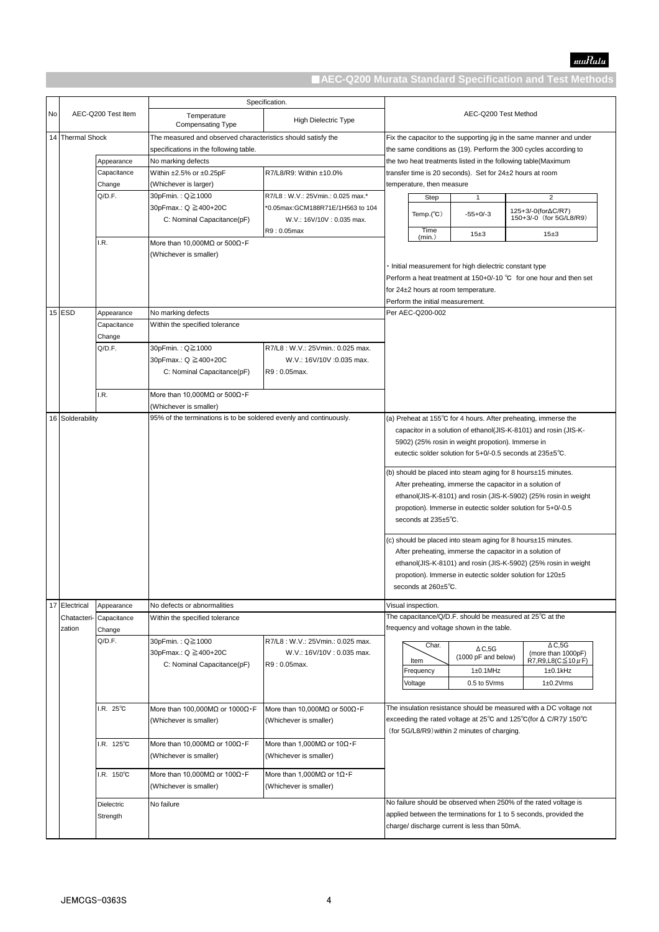|    |                  |                    |                                                                                                        | Specification.                                   |                                                                                                                              |                                  |                                                       |                                                                                                                                          |
|----|------------------|--------------------|--------------------------------------------------------------------------------------------------------|--------------------------------------------------|------------------------------------------------------------------------------------------------------------------------------|----------------------------------|-------------------------------------------------------|------------------------------------------------------------------------------------------------------------------------------------------|
| No |                  | AEC-Q200 Test Item | Temperature<br><b>Compensating Type</b>                                                                | High Dielectric Type                             | AEC-Q200 Test Method                                                                                                         |                                  |                                                       |                                                                                                                                          |
|    | 14 Thermal Shock |                    | The measured and observed characteristics should satisfy the<br>specifications in the following table. |                                                  |                                                                                                                              |                                  |                                                       | Fix the capacitor to the supporting jig in the same manner and under<br>the same conditions as (19). Perform the 300 cycles according to |
|    |                  | Appearance         | No marking defects                                                                                     |                                                  |                                                                                                                              |                                  |                                                       | the two heat treatments listed in the following table(Maximum                                                                            |
|    |                  | Capacitance        | Within ±2.5% or ±0.25pF                                                                                | R7/L8/R9: Within ±10.0%                          |                                                                                                                              |                                  |                                                       | transfer time is 20 seconds). Set for 24±2 hours at room                                                                                 |
|    |                  | Change             | (Whichever is larger)                                                                                  |                                                  |                                                                                                                              | temperature, then measure        |                                                       |                                                                                                                                          |
|    |                  | Q/D.F.             | 30pFmin. : Q≧1000                                                                                      | R7/L8: W.V.: 25Vmin.: 0.025 max.*                |                                                                                                                              | Step                             | $\mathbf{1}$                                          | 2                                                                                                                                        |
|    |                  |                    | 30pFmax.: Q ≧400+20C                                                                                   | *0.05max:GCM188R71E/1H563 to 104                 |                                                                                                                              |                                  |                                                       | 125+3/-0(for∆C/R7)                                                                                                                       |
|    |                  |                    | C: Nominal Capacitance(pF)                                                                             | W.V.: 16V/10V: 0.035 max.                        |                                                                                                                              | Temp. $(^{\circ}C)$              | $-55+0/-3$                                            | 150+3/-0 (for 5G/L8/R9)                                                                                                                  |
|    |                  |                    |                                                                                                        | R9: 0.05max                                      |                                                                                                                              | Time                             | 15±3                                                  | 15±3                                                                                                                                     |
|    |                  | I.R.               | More than 10,000MQ or $500\Omega \cdot F$                                                              |                                                  |                                                                                                                              | (min.)                           |                                                       |                                                                                                                                          |
|    |                  |                    | (Whichever is smaller)                                                                                 |                                                  |                                                                                                                              |                                  |                                                       |                                                                                                                                          |
|    |                  |                    |                                                                                                        |                                                  |                                                                                                                              |                                  | Initial measurement for high dielectric constant type |                                                                                                                                          |
|    |                  |                    |                                                                                                        |                                                  |                                                                                                                              |                                  |                                                       | Perform a heat treatment at 150+0/-10 °C for one hour and then set                                                                       |
|    |                  |                    |                                                                                                        |                                                  |                                                                                                                              |                                  | for 24±2 hours at room temperature.                   |                                                                                                                                          |
|    |                  |                    |                                                                                                        |                                                  |                                                                                                                              | Perform the initial measurement. |                                                       |                                                                                                                                          |
|    | $15$ ESD         | Appearance         | No marking defects                                                                                     |                                                  |                                                                                                                              | Per AEC-Q200-002                 |                                                       |                                                                                                                                          |
|    |                  | Capacitance        | Within the specified tolerance                                                                         |                                                  |                                                                                                                              |                                  |                                                       |                                                                                                                                          |
|    |                  | Change             |                                                                                                        |                                                  |                                                                                                                              |                                  |                                                       |                                                                                                                                          |
|    |                  | Q/D.F.             | 30pFmin. : Q≧1000                                                                                      | R7/L8: W.V.: 25Vmin.: 0.025 max.                 |                                                                                                                              |                                  |                                                       |                                                                                                                                          |
|    |                  |                    | 30pFmax.: Q ≧400+20C                                                                                   | W.V.: 16V/10V :0.035 max.                        |                                                                                                                              |                                  |                                                       |                                                                                                                                          |
|    |                  |                    | C: Nominal Capacitance(pF)                                                                             | R9: 0.05max.                                     |                                                                                                                              |                                  |                                                       |                                                                                                                                          |
|    |                  |                    |                                                                                                        |                                                  |                                                                                                                              |                                  |                                                       |                                                                                                                                          |
|    |                  | I.R.               | More than 10,000MQ or $500\Omega \cdot F$                                                              |                                                  |                                                                                                                              |                                  |                                                       |                                                                                                                                          |
|    |                  |                    | (Whichever is smaller)                                                                                 |                                                  |                                                                                                                              |                                  |                                                       |                                                                                                                                          |
|    | 16 Solderability |                    | 95% of the terminations is to be soldered evenly and continuously.                                     |                                                  |                                                                                                                              |                                  |                                                       | (a) Preheat at 155°C for 4 hours. After preheating, immerse the                                                                          |
|    |                  |                    |                                                                                                        |                                                  |                                                                                                                              |                                  |                                                       | capacitor in a solution of ethanol(JIS-K-8101) and rosin (JIS-K-                                                                         |
|    |                  |                    |                                                                                                        |                                                  | 5902) (25% rosin in weight propotion). Immerse in<br>eutectic solder solution for $5+0/-0.5$ seconds at $235\pm5^{\circ}$ C. |                                  |                                                       |                                                                                                                                          |
|    |                  |                    |                                                                                                        |                                                  |                                                                                                                              |                                  |                                                       |                                                                                                                                          |
|    |                  |                    |                                                                                                        |                                                  |                                                                                                                              |                                  |                                                       |                                                                                                                                          |
|    |                  |                    |                                                                                                        |                                                  | (b) should be placed into steam aging for 8 hours±15 minutes.                                                                |                                  |                                                       |                                                                                                                                          |
|    |                  |                    |                                                                                                        |                                                  |                                                                                                                              |                                  |                                                       | After preheating, immerse the capacitor in a solution of                                                                                 |
|    |                  |                    |                                                                                                        |                                                  |                                                                                                                              |                                  |                                                       | ethanol(JIS-K-8101) and rosin (JIS-K-5902) (25% rosin in weight                                                                          |
|    |                  |                    |                                                                                                        |                                                  |                                                                                                                              |                                  |                                                       | propotion). Immerse in eutectic solder solution for 5+0/-0.5                                                                             |
|    |                  |                    |                                                                                                        |                                                  |                                                                                                                              | seconds at 235±5°C.              |                                                       |                                                                                                                                          |
|    |                  |                    |                                                                                                        |                                                  |                                                                                                                              |                                  |                                                       | (c) should be placed into steam aging for 8 hours±15 minutes.                                                                            |
|    |                  |                    |                                                                                                        |                                                  |                                                                                                                              |                                  |                                                       | After preheating, immerse the capacitor in a solution of                                                                                 |
|    |                  |                    |                                                                                                        |                                                  |                                                                                                                              |                                  |                                                       | ethanol(JIS-K-8101) and rosin (JIS-K-5902) (25% rosin in weight                                                                          |
|    |                  |                    |                                                                                                        |                                                  |                                                                                                                              |                                  |                                                       | propotion). Immerse in eutectic solder solution for 120±5                                                                                |
|    |                  |                    |                                                                                                        |                                                  |                                                                                                                              | seconds at 260±5°C.              |                                                       |                                                                                                                                          |
|    |                  |                    |                                                                                                        |                                                  |                                                                                                                              |                                  |                                                       |                                                                                                                                          |
|    | 17 Electrical    | Appearance         | No defects or abnormalities                                                                            |                                                  |                                                                                                                              | Visual inspection.               |                                                       |                                                                                                                                          |
|    | Chatacteri-      | Capacitance        | Within the specified tolerance                                                                         |                                                  |                                                                                                                              |                                  |                                                       | The capacitance/Q/D.F. should be measured at 25°C at the                                                                                 |
|    | zation           | Change             |                                                                                                        |                                                  |                                                                                                                              |                                  | frequency and voltage shown in the table.             |                                                                                                                                          |
|    |                  | Q/D.F.             | 30pFmin.: Q≧1000                                                                                       | R7/L8: W.V.: 25Vmin.: 0.025 max.                 |                                                                                                                              | Char.                            |                                                       | $\Delta C$ ,5G                                                                                                                           |
|    |                  |                    | 30pFmax.: Q ≧400+20C                                                                                   | W.V.: 16V/10V: 0.035 max.                        |                                                                                                                              |                                  | $\triangle C$ ,5G<br>(1000 pF and below)              | (more than 1000pF)                                                                                                                       |
|    |                  |                    | C: Nominal Capacitance(pF)                                                                             | R9: 0.05max.                                     |                                                                                                                              | Item<br>Frequency                | $1\pm0.1$ MHz                                         | R7, R9, L8(C ≤ 10 $\mu$ F)<br>$1\pm0.1$ kHz                                                                                              |
|    |                  |                    |                                                                                                        |                                                  |                                                                                                                              | Voltage                          | 0.5 to 5Vrms                                          | $1\pm0.2$ Vrms                                                                                                                           |
|    |                  |                    |                                                                                                        |                                                  |                                                                                                                              |                                  |                                                       |                                                                                                                                          |
|    |                  |                    |                                                                                                        |                                                  |                                                                                                                              |                                  |                                                       |                                                                                                                                          |
|    |                  | .R. 25°C           | More than 100,000M $\Omega$ or 1000 $\Omega \cdot F$                                                   | More than 10.000MQ or 500 $\Omega \cdot F$       | The insulation resistance should be measured with a DC voltage not                                                           |                                  |                                                       |                                                                                                                                          |
|    |                  |                    | (Whichever is smaller)                                                                                 | (Whichever is smaller)                           |                                                                                                                              |                                  |                                                       | exceeding the rated voltage at 25 $^{\circ}$ C and 125 $^{\circ}$ C(for $\Delta$ C/R7)/ 150 $^{\circ}$ C                                 |
|    |                  |                    |                                                                                                        |                                                  |                                                                                                                              |                                  | (for 5G/L8/R9) within 2 minutes of charging.          |                                                                                                                                          |
|    |                  | .R. 125°C          | More than 10,000MQ or $100\Omega \cdot F$                                                              | More than 1,000M $\Omega$ or 10 $\Omega \cdot F$ |                                                                                                                              |                                  |                                                       |                                                                                                                                          |
|    |                  |                    | (Whichever is smaller)                                                                                 | (Whichever is smaller)                           |                                                                                                                              |                                  |                                                       |                                                                                                                                          |
|    |                  | .R. 150°C          | More than 10,000M $\Omega$ or 100 $\Omega \cdot F$                                                     | More than 1,000MQ or $1\Omega \cdot F$           |                                                                                                                              |                                  |                                                       |                                                                                                                                          |
|    |                  |                    | (Whichever is smaller)                                                                                 | (Whichever is smaller)                           |                                                                                                                              |                                  |                                                       |                                                                                                                                          |
|    |                  |                    |                                                                                                        |                                                  |                                                                                                                              |                                  |                                                       |                                                                                                                                          |
|    |                  | Dielectric         | No failure                                                                                             |                                                  |                                                                                                                              |                                  |                                                       | No failure should be observed when 250% of the rated voltage is                                                                          |
|    |                  | Strength           |                                                                                                        |                                                  |                                                                                                                              |                                  |                                                       | applied between the terminations for 1 to 5 seconds, provided the                                                                        |
|    |                  |                    |                                                                                                        |                                                  |                                                                                                                              |                                  | charge/ discharge current is less than 50mA.          |                                                                                                                                          |
|    |                  |                    |                                                                                                        |                                                  |                                                                                                                              |                                  |                                                       |                                                                                                                                          |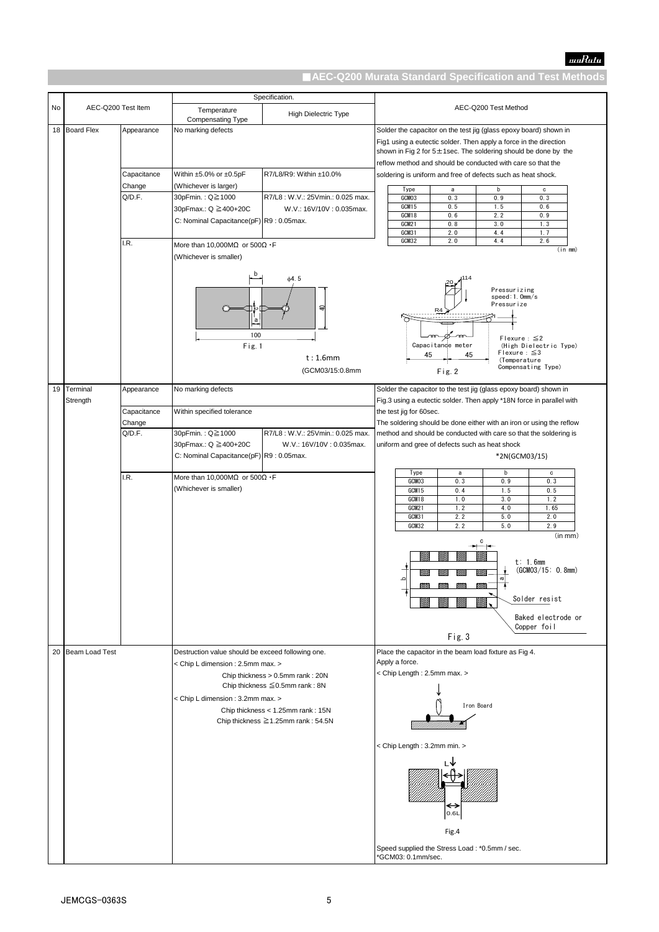|    |                    |                       |                                                                                | Specification.                        |                      |                                                                                                 |  |
|----|--------------------|-----------------------|--------------------------------------------------------------------------------|---------------------------------------|----------------------|-------------------------------------------------------------------------------------------------|--|
| No | AEC-Q200 Test Item |                       | Temperature<br>Compensating Type                                               | <b>High Dielectric Type</b>           | AEC-Q200 Test Method |                                                                                                 |  |
|    | 18 Board Flex      | Appearance            | No marking defects                                                             |                                       |                      | Solder the capacitor on the test jig (glass epoxy board) shown in                               |  |
|    |                    |                       |                                                                                |                                       |                      | Fig1 using a eutectic solder. Then apply a force in the direction                               |  |
|    |                    |                       |                                                                                |                                       |                      | shown in Fig 2 for 5±1sec. The soldering should be done by the                                  |  |
|    |                    |                       |                                                                                |                                       |                      | reflow method and should be conducted with care so that the                                     |  |
|    |                    | Capacitance           | Within ±5.0% or ±0.5pF                                                         | R7/L8/R9: Within ±10.0%               |                      | soldering is uniform and free of defects such as heat shock.                                    |  |
|    |                    | Change                | (Whichever is larger)                                                          |                                       |                      | Type<br>b<br>a<br>c                                                                             |  |
|    |                    | Q/D.F.                | 30pFmin. : Q≧1000                                                              | R7/L8: W.V.: 25Vmin.: 0.025 max.      |                      | GCM03<br>0.3<br>0.9<br>0.3<br>GCM15<br>0.5<br>1.5<br>0.6                                        |  |
|    |                    |                       | 30pFmax.: Q ≧400+20C                                                           | W.V.: 16V/10V: 0.035max.              |                      | GCM18<br>0.6<br>2.2<br>0.9                                                                      |  |
|    |                    |                       | C: Nominal Capacitance(pF) R9: 0.05max.                                        |                                       |                      | GCM21<br>0.8<br>3.0<br>1.3<br>GCM31<br>2.0<br>4.4<br>1.7                                        |  |
|    |                    | I.R.                  | More than 10,000M $\Omega$ or 500 $\Omega$ · F                                 |                                       |                      | GCM32<br>2.0<br>4.4<br>2.6                                                                      |  |
|    |                    |                       | (Whichever is smaller)                                                         |                                       |                      | $(in \, mm)$                                                                                    |  |
|    |                    |                       |                                                                                |                                       |                      |                                                                                                 |  |
|    |                    |                       | b                                                                              | $\phi$ 4.5                            |                      |                                                                                                 |  |
|    |                    |                       |                                                                                |                                       |                      | Pressurizing                                                                                    |  |
|    |                    |                       |                                                                                |                                       |                      | speed:1.0mm/s<br>Pressurize                                                                     |  |
|    |                    |                       |                                                                                | $\triangleleft$                       |                      | R4                                                                                              |  |
|    |                    |                       | a                                                                              |                                       |                      |                                                                                                 |  |
|    |                    |                       | 100                                                                            |                                       |                      | $\infty$<br>- 22<br>-0.<br>Flexure : $\leq$ 2                                                   |  |
|    |                    |                       | Fig. 1                                                                         |                                       |                      | Capacitance meter<br>(High Dielectric Type)<br>Flexure : $\leq$ 3<br>45<br>45                   |  |
|    |                    |                       |                                                                                | t:1.6mm                               |                      | (Temperature<br>Compensating Type)                                                              |  |
|    |                    |                       |                                                                                | (GCM03/15:0.8mm                       |                      | Fig. 2                                                                                          |  |
|    | 19 Terminal        | Appearance            | No marking defects                                                             |                                       |                      | Solder the capacitor to the test jig (glass epoxy board) shown in                               |  |
|    | Strength           |                       |                                                                                |                                       |                      | Fig.3 using a eutectic solder. Then apply *18N force in parallel with                           |  |
|    |                    | Capacitance<br>Change | Within specified tolerance                                                     |                                       |                      | the test jig for 60sec.<br>The soldering should be done either with an iron or using the reflow |  |
|    |                    | Q/D.F.                | 30pFmin.: Q≧1000                                                               | R7/L8: W.V.: 25Vmin.: 0.025 max.      |                      | method and should be conducted with care so that the soldering is                               |  |
|    |                    |                       | 30pFmax.: Q ≧400+20C                                                           | W.V.: 16V/10V: 0.035max.              |                      | uniform and gree of defects such as heat shock                                                  |  |
|    |                    |                       | C: Nominal Capacitance(pF) R9: 0.05max.                                        |                                       |                      | *2N(GCM03/15)                                                                                   |  |
|    |                    |                       |                                                                                |                                       |                      | Type<br>b<br>a<br>c                                                                             |  |
|    |                    | I.R.                  | More than 10,000M $\Omega$ or 500 $\Omega$ · F                                 |                                       |                      | GCM03<br>0.3<br>0.9<br>0.3                                                                      |  |
|    |                    |                       | (Whichever is smaller)                                                         |                                       |                      | GCM15<br>0.4<br>1.5<br>0.5<br>1.0<br>3.0<br>1.2<br>GCM18                                        |  |
|    |                    |                       |                                                                                |                                       |                      | 1.2<br>GCM21<br>4.0<br>1.65                                                                     |  |
|    |                    |                       |                                                                                |                                       |                      | GCM31<br>2.2<br>5.0<br>2.0                                                                      |  |
|    |                    |                       |                                                                                |                                       |                      | GCM32<br>2.2<br>5.0<br>2.9<br>(in mm)                                                           |  |
|    |                    |                       |                                                                                |                                       |                      | C                                                                                               |  |
|    |                    |                       |                                                                                |                                       |                      | t: 1.6mm                                                                                        |  |
|    |                    |                       |                                                                                |                                       |                      | (GCMO3/15: 0.8mm)                                                                               |  |
|    |                    |                       |                                                                                |                                       |                      | $\varpi$<br>$\Omega$                                                                            |  |
|    |                    |                       |                                                                                |                                       |                      | Solder resist                                                                                   |  |
|    |                    |                       |                                                                                |                                       |                      |                                                                                                 |  |
|    |                    |                       |                                                                                |                                       |                      | Baked electrode or<br>Copper foil                                                               |  |
|    |                    |                       |                                                                                |                                       |                      | Fig. 3                                                                                          |  |
|    | 20 Beam Load Test  |                       | Destruction value should be exceed following one.                              |                                       |                      | Place the capacitor in the beam load fixture as Fig 4.                                          |  |
|    |                    |                       | < Chip L dimension : 2.5mm max. >                                              |                                       |                      | Apply a force.                                                                                  |  |
|    |                    |                       |                                                                                | Chip thickness > 0.5mm rank: 20N      |                      | < Chip Length: 2.5mm max. >                                                                     |  |
|    |                    |                       |                                                                                | Chip thickness $\leq 0.5$ mm rank: 8N |                      |                                                                                                 |  |
|    |                    |                       | < Chip L dimension : 3.2mm max. >                                              |                                       |                      | Iron Board                                                                                      |  |
|    |                    |                       | Chip thickness < 1.25mm rank: 15N<br>Chip thickness $\geq 1.25$ mm rank: 54.5N |                                       |                      |                                                                                                 |  |
|    |                    |                       |                                                                                |                                       |                      |                                                                                                 |  |
|    |                    |                       |                                                                                |                                       |                      | < Chip Length: 3.2mm min. >                                                                     |  |
|    |                    |                       |                                                                                |                                       |                      |                                                                                                 |  |
|    |                    |                       |                                                                                |                                       |                      |                                                                                                 |  |
|    |                    |                       |                                                                                |                                       |                      |                                                                                                 |  |
|    |                    |                       |                                                                                |                                       |                      |                                                                                                 |  |
|    |                    |                       |                                                                                |                                       |                      | ↔                                                                                               |  |
|    |                    |                       |                                                                                |                                       |                      | 0.6L                                                                                            |  |
|    |                    |                       |                                                                                |                                       |                      | Fig.4                                                                                           |  |
|    |                    |                       |                                                                                |                                       |                      | Speed supplied the Stress Load: *0.5mm / sec.                                                   |  |
|    |                    |                       |                                                                                |                                       |                      | *GCM03: 0.1mm/sec.                                                                              |  |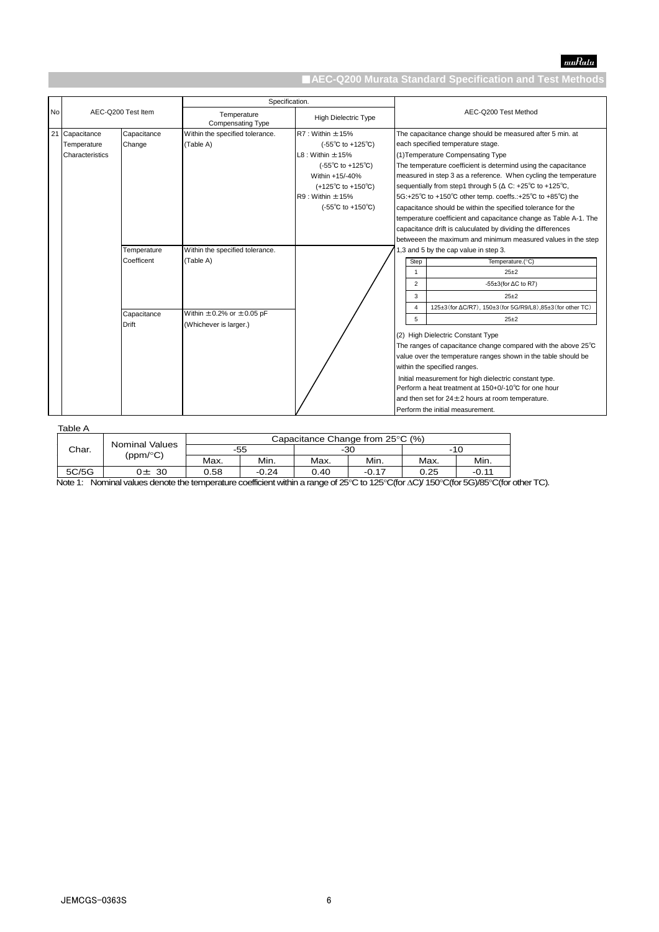

|    |                 |                    | Specification.                          |                                             |                                                                                |
|----|-----------------|--------------------|-----------------------------------------|---------------------------------------------|--------------------------------------------------------------------------------|
| No |                 | AEC-Q200 Test Item | Temperature<br><b>Compensating Type</b> | <b>High Dielectric Type</b>                 | AEC-Q200 Test Method                                                           |
| 21 | Capacitance     | Capacitance        | Within the specified tolerance.         | $R7:$ Within $\pm$ 15%                      | The capacitance change should be measured after 5 min. at                      |
|    | Temperature     | Change             | (Table A)                               | $(-55^{\circ}C \text{ to } +125^{\circ}C)$  | each specified temperature stage.                                              |
|    | Characteristics |                    |                                         | $L8:$ Within $\pm$ 15%                      | (1) Temperature Compensating Type                                              |
|    |                 |                    |                                         | $(-55^{\circ}C \text{ to } +125^{\circ}C)$  | The temperature coefficient is determind using the capacitance                 |
|    |                 |                    |                                         | Within +15/-40%                             | measured in step 3 as a reference. When cycling the temperature                |
|    |                 |                    |                                         | $(+125^{\circ}C \text{ to } +150^{\circ}C)$ | sequentially from step1 through 5 ( $\Delta$ C: +25°C to +125°C,               |
|    |                 |                    |                                         | $R9:$ Within $\pm$ 15%                      | 5G:+25°C to +150°C other temp. coeffs.:+25°C to +85°C) the                     |
|    |                 |                    |                                         | $(-55^{\circ}C \text{ to } +150^{\circ}C)$  | capacitance should be within the specified tolerance for the                   |
|    |                 |                    |                                         |                                             | temperature coefficient and capacitance change as Table A-1. The               |
|    |                 |                    |                                         |                                             | capacitance drift is caluculated by dividing the differences                   |
|    |                 |                    |                                         |                                             | betweeen the maximum and minimum measured values in the step                   |
|    |                 | Temperature        | Within the specified tolerance.         |                                             | 1,3 and 5 by the cap value in step 3.                                          |
|    |                 | Coefficent         | (Table A)                               |                                             | Temperature.(°C)<br>Step                                                       |
|    |                 |                    |                                         |                                             | $25 + 2$<br>$\mathbf{1}$                                                       |
|    |                 |                    |                                         |                                             | $\overline{2}$<br>$-55\pm3$ (for $\Delta C$ to R7)                             |
|    |                 |                    |                                         |                                             | 3<br>$25+2$                                                                    |
|    |                 | Capacitance        | Within $\pm 0.2\%$ or $\pm 0.05$ pF     |                                             | 125±3 (for ΔC/R7), 150±3 (for 5G/R9/L8), 85±3 (for other TC)<br>$\overline{4}$ |
|    |                 | Drift              | (Whichever is larger.)                  |                                             | 5<br>$25 + 2$                                                                  |
|    |                 |                    |                                         |                                             | (2) High Dielectric Constant Type                                              |
|    |                 |                    |                                         |                                             | The ranges of capacitance change compared with the above 25°C                  |
|    |                 |                    |                                         |                                             | value over the temperature ranges shown in the table should be                 |
|    |                 |                    |                                         |                                             | within the specified ranges.                                                   |
|    |                 |                    |                                         |                                             | Initial measurement for high dielectric constant type.                         |
|    |                 |                    |                                         |                                             | Perform a heat treatment at 150+0/-10°C for one hour                           |
|    |                 |                    |                                         |                                             | and then set for $24 \pm 2$ hours at room temperature.                         |
|    |                 |                    |                                         |                                             | Perform the initial measurement.                                               |

Table A

|       | Capacitance Change from 25°C (%)<br><b>Nominal Values</b> |       |         |      |                                                  |                                                         |                                    |
|-------|-----------------------------------------------------------|-------|---------|------|--------------------------------------------------|---------------------------------------------------------|------------------------------------|
| Char. |                                                           | $-55$ |         | -30  |                                                  | -10                                                     |                                    |
|       | (ppm/°C)                                                  | Max.  | Min.    | Max. | Min.                                             | Max.                                                    | Min.                               |
| 5C/5G | 30<br>)±                                                  | 0.58  | $-0.24$ | 0.40 | $-0.17$                                          | 0.25                                                    | $-0.11$                            |
| .     | .                                                         |       |         |      | $\sim$ $\sim$ $\sim$ $\sim$ $\sim$ $\sim$ $\sim$ | $\sim$ $\sim$ $\sim$ $\sim$ $\sim$ $\sim$ $\sim$ $\sim$ | $\sim$ $\sim$ $\sim$ $\sim$ $\sim$ |

Note 1: Nominal values denote the temperature coefficient within a range of 25°C to 125°C(for  $\triangle C$ )/ 150°C(for 5G)/85°C(for other TC).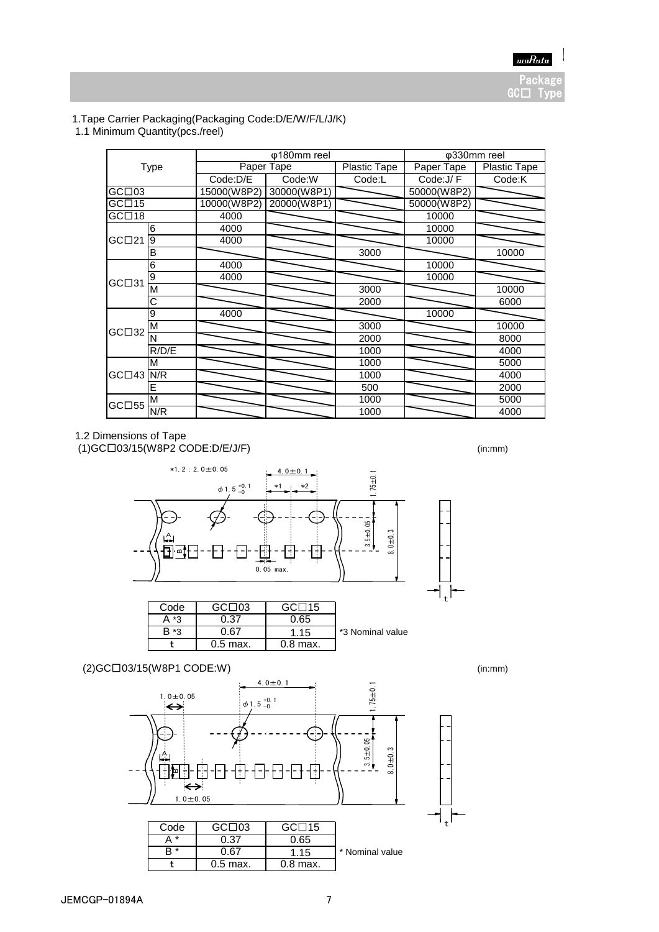# 1.Tape Carrier Packaging(Packaging Code:D/E/W/F/L/J/K)

1.1 Minimum Quantity(pcs./reel)

|             |       |             | φ180mm reel |                     | $\overline{\phi}$ 330mm reel |                     |
|-------------|-------|-------------|-------------|---------------------|------------------------------|---------------------|
| Type        |       |             | Paper Tape  | <b>Plastic Tape</b> | Paper Tape                   | <b>Plastic Tape</b> |
|             |       | Code:D/E    | Code:W      | Code:L              | Code:J/F                     | Code:K              |
| GCD03       |       | 15000(W8P2) | 30000(W8P1) |                     | 50000(W8P2)                  |                     |
| GCD15       |       | 10000(W8P2) | 20000(W8P1) |                     | 50000(W8P2)                  |                     |
| GCD18       |       | 4000        |             |                     | 10000                        |                     |
|             | 6     | 4000        |             |                     | 10000                        |                     |
| GCD21       | 9     | 4000        |             |                     | 10000                        |                     |
|             | B     |             |             | 3000                |                              | 10000               |
|             | 6     | 4000        |             |                     | 10000                        |                     |
| GC□31       | 9     | 4000        |             |                     | 10000                        |                     |
|             | M     |             |             | 3000                |                              | 10000               |
|             | Ⴀ     |             |             | 2000                |                              | 6000                |
|             | 9     | 4000        |             |                     | 10000                        |                     |
| GCD32       | M     |             |             | 3000                |                              | 10000               |
|             | N     |             |             | 2000                |                              | 8000                |
|             | R/D/E |             |             | 1000                |                              | 4000                |
| $GCD43$ N/R | М     |             |             | 1000                |                              | 5000                |
|             |       |             |             | 1000                |                              | 4000                |
|             | E     |             |             | 500                 |                              | 2000                |
| GCD55       | M     |             |             | 1000                |                              | 5000                |
|             | N/R   |             |             | 1000                |                              | 4000                |

#### 1.2 Dimensions of Tape

 $(1)$ GC $\Box$ 03/15 $(W8P2$  CODE:D/E/J/F) (in:mm)



| Code | GCD03      | GCD15      |                  |
|------|------------|------------|------------------|
| *3   | 0.37       | 0.65       |                  |
| *3   | ገ 67       | 1.15       | *3 Nominal value |
|      | $0.5$ max. | $0.8$ max. |                  |

# (2)GC□03/15(W8P1 CODE:W) (in:mm)



t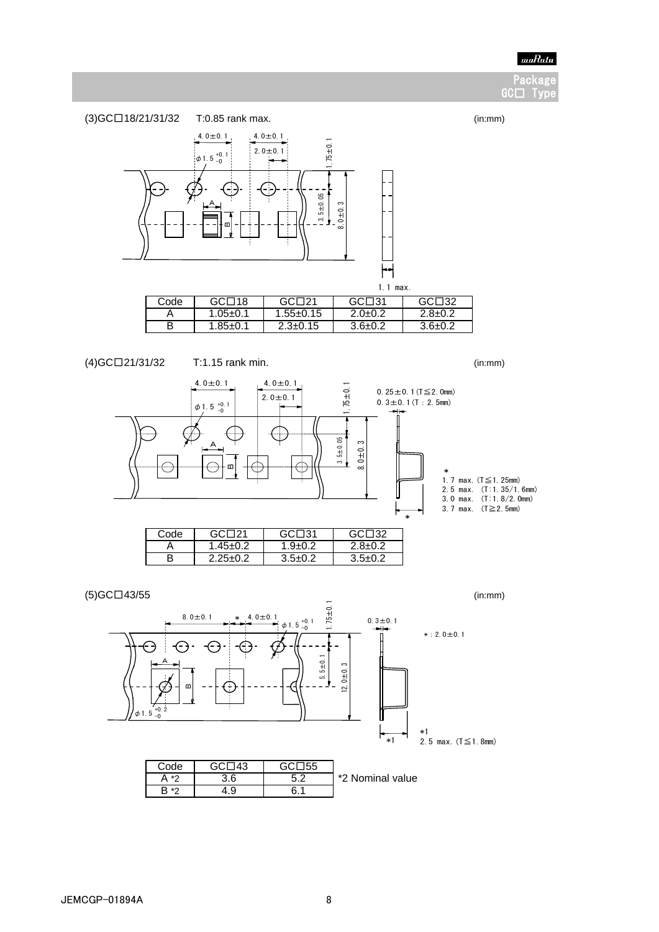

Packa  $GCD$  Ty



| (4)GC□21/31/32 | $T:1.15$ rank min. | (in:mm) |
|----------------|--------------------|---------|
|----------------|--------------------|---------|

 $2.25±0.2$ 





| ____    | <br><br> |                  |
|---------|----------|------------------|
| $\star$ |          | *2 Nominal value |
| *^      |          |                  |
|         |          |                  |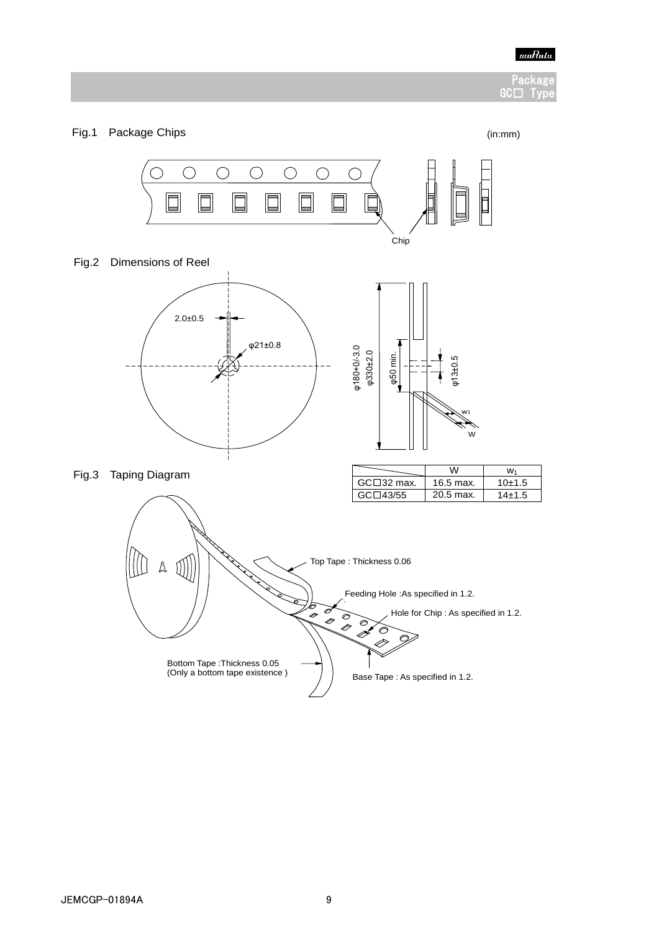

#### Packa GC□ Ty

#### Fig.1 Package Chips (in:mm)

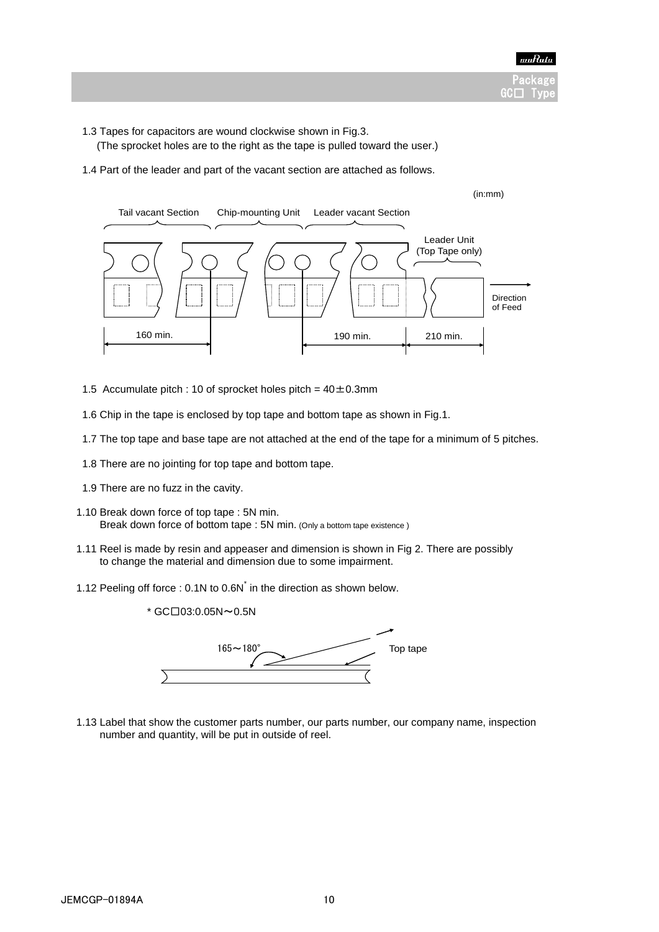

- 1.3 Tapes for capacitors are wound clockwise shown in Fig.3.
	- (The sprocket holes are to the right as the tape is pulled toward the user.)
- 1.4 Part of the leader and part of the vacant section are attached as follows.



- 1.5 Accumulate pitch : 10 of sprocket holes pitch =  $40 \pm 0.3$ mm
- 1.6 Chip in the tape is enclosed by top tape and bottom tape as shown in Fig.1.
- 1.7 The top tape and base tape are not attached at the end of the tape for a minimum of 5 pitches.
- 1.8 There are no jointing for top tape and bottom tape.
- 1.9 There are no fuzz in the cavity.
- 1.10 Break down force of top tape : 5N min. Break down force of bottom tape : 5N min. (Only a bottom tape existence )
- 1.11 Reel is made by resin and appeaser and dimension is shown in Fig 2. There are possibly to change the material and dimension due to some impairment.
	- 1.12 Peeling off force : 0.1N to 0.6N<sup>\*</sup> in the direction as shown below.



 1.13 Label that show the customer parts number, our parts number, our company name, inspection number and quantity, will be put in outside of reel.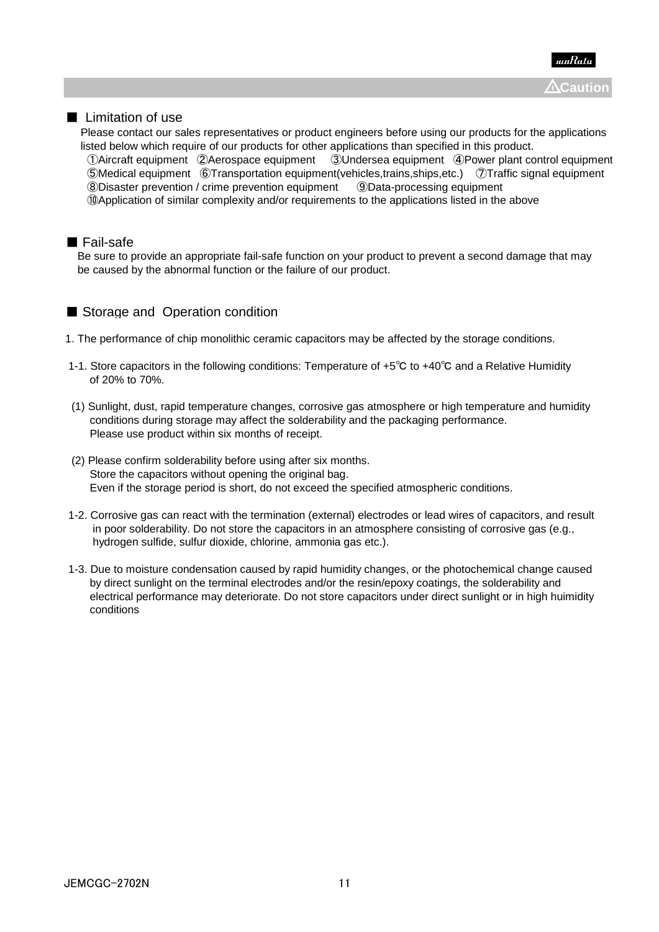

## ■ Limitation of use

 Please contact our sales representatives or product engineers before using our products for the applications listed below which require of our products for other applications than specified in this product. ①Aircraft equipment ②Aerospace equipment ③Undersea equipment ④Power plant control equipment ⑤Medical equipment ⑥Transportation equipment(vehicles,trains,ships,etc.) ⑦Traffic signal equipment ⑧Disaster prevention / crime prevention equipment ⑨Data-processing equipment ⑩Application of similar complexity and/or requirements to the applications listed in the above

#### ■ Fail-safe

 Be sure to provide an appropriate fail-safe function on your product to prevent a second damage that may be caused by the abnormal function or the failure of our product.

## ■ Storage and Operation condition

- 1. The performance of chip monolithic ceramic capacitors may be affected by the storage conditions.
- 1-1. Store capacitors in the following conditions: Temperature of +5℃ to +40℃ and a Relative Humidity of 20% to 70%.
- (1) Sunlight, dust, rapid temperature changes, corrosive gas atmosphere or high temperature and humidity conditions during storage may affect the solderability and the packaging performance. Please use product within six months of receipt.
- (2) Please confirm solderability before using after six months. Store the capacitors without opening the original bag. Even if the storage period is short, do not exceed the specified atmospheric conditions.
- 1-2. Corrosive gas can react with the termination (external) electrodes or lead wires of capacitors, and result in poor solderability. Do not store the capacitors in an atmosphere consisting of corrosive gas (e.g., hydrogen sulfide, sulfur dioxide, chlorine, ammonia gas etc.).
- 1-3. Due to moisture condensation caused by rapid humidity changes, or the photochemical change caused by direct sunlight on the terminal electrodes and/or the resin/epoxy coatings, the solderability and electrical performance may deteriorate. Do not store capacitors under direct sunlight or in high huimidity conditions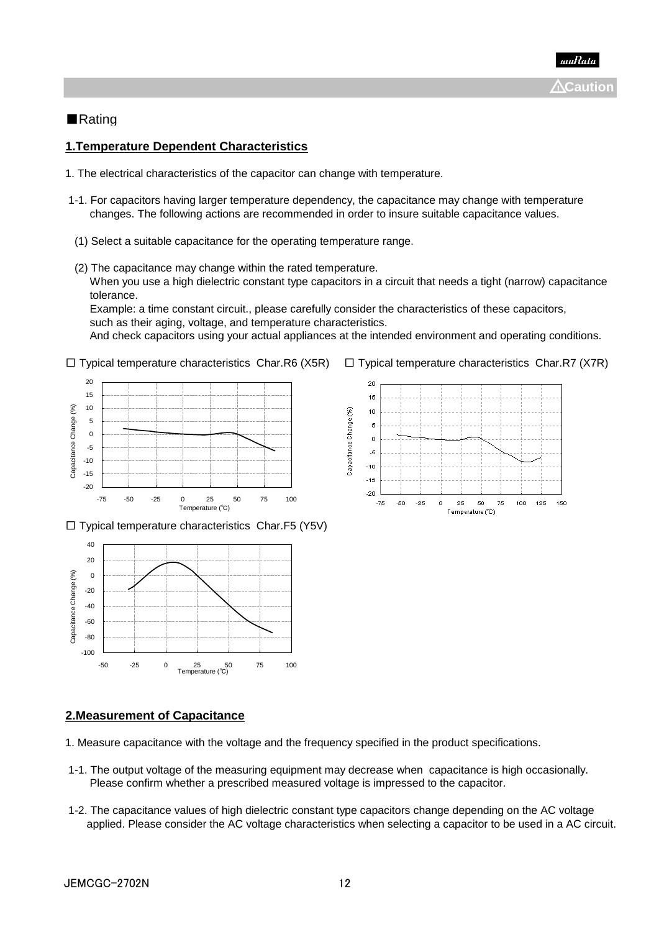## ■Rating

### **1.Temperature Dependent Characteristics**

- 1. The electrical characteristics of the capacitor can change with temperature.
- 1-1. For capacitors having larger temperature dependency, the capacitance may change with temperature changes. The following actions are recommended in order to insure suitable capacitance values.
- (1) Select a suitable capacitance for the operating temperature range.
- (2) The capacitance may change within the rated temperature. When you use a high dielectric constant type capacitors in a circuit that needs a tight (narrow) capacitance tolerance.

 Example: a time constant circuit., please carefully consider the characteristics of these capacitors, such as their aging, voltage, and temperature characteristics. And check capacitors using your actual appliances at the intended environment and operating conditions.









#### **2.Measurement of Capacitance**

- 1. Measure capacitance with the voltage and the frequency specified in the product specifications.
- 1-1. The output voltage of the measuring equipment may decrease when capacitance is high occasionally. Please confirm whether a prescribed measured voltage is impressed to the capacitor.
- 1-2. The capacitance values of high dielectric constant type capacitors change depending on the AC voltage applied. Please consider the AC voltage characteristics when selecting a capacitor to be used in a AC circuit.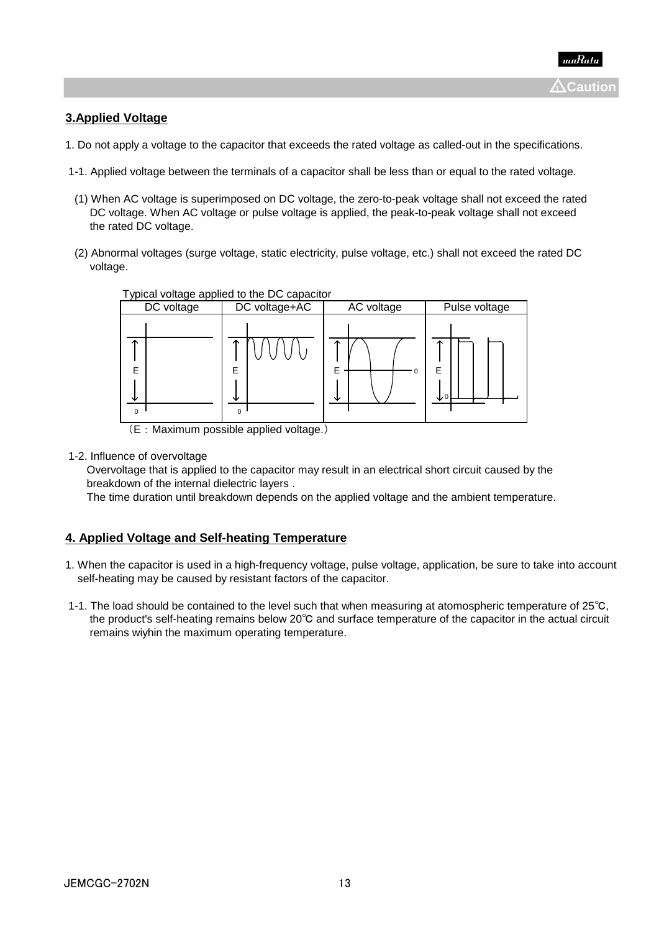# **3.Applied Voltage**

- 1. Do not apply a voltage to the capacitor that exceeds the rated voltage as called-out in the specifications.
- 1-1. Applied voltage between the terminals of a capacitor shall be less than or equal to the rated voltage.
- (1) When AC voltage is superimposed on DC voltage, the zero-to-peak voltage shall not exceed the rated DC voltage. When AC voltage or pulse voltage is applied, the peak-to-peak voltage shall not exceed the rated DC voltage.
- (2) Abnormal voltages (surge voltage, static electricity, pulse voltage, etc.) shall not exceed the rated DC voltage.



(E:Maximum possible applied voltage.)

1-2. Influence of overvoltage

 Overvoltage that is applied to the capacitor may result in an electrical short circuit caused by the breakdown of the internal dielectric layers .

The time duration until breakdown depends on the applied voltage and the ambient temperature.

### **4. Applied Voltage and Self-heating Temperature**

- 1. When the capacitor is used in a high-frequency voltage, pulse voltage, application, be sure to take into account self-heating may be caused by resistant factors of the capacitor.
- 1-1. The load should be contained to the level such that when measuring at atomospheric temperature of 25℃, the product's self-heating remains below 20℃ and surface temperature of the capacitor in the actual circuit remains wiyhin the maximum operating temperature.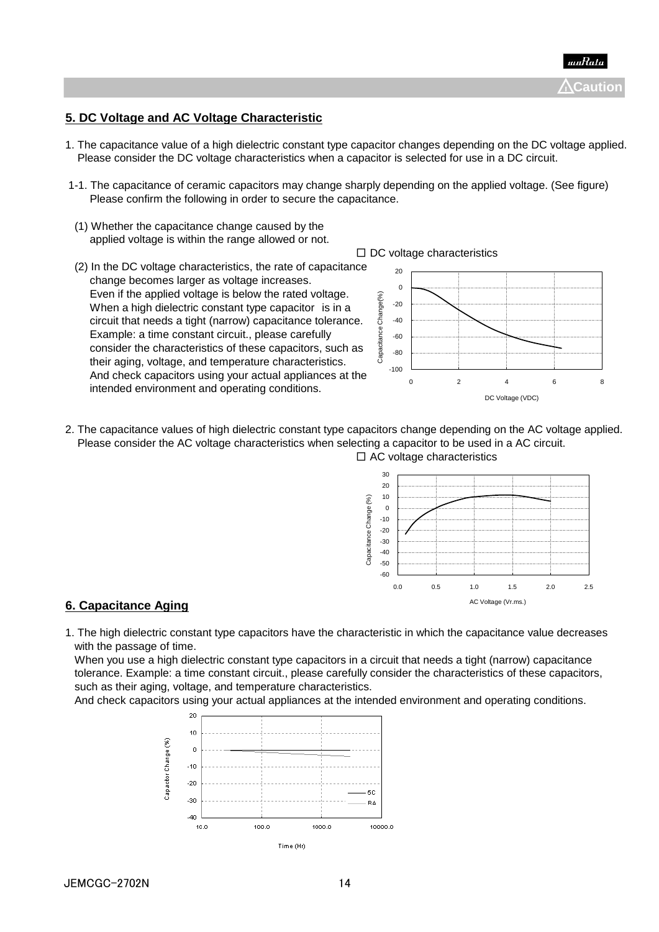

## **5. DC Voltage and AC Voltage Characteristic**

- 1. The capacitance value of a high dielectric constant type capacitor changes depending on the DC voltage applied. Please consider the DC voltage characteristics when a capacitor is selected for use in a DC circuit.
- 1-1. The capacitance of ceramic capacitors may change sharply depending on the applied voltage. (See figure) Please confirm the following in order to secure the capacitance.
- (1) Whether the capacitance change caused by the applied voltage is within the range allowed or not.
- (2) In the DC voltage characteristics, the rate of capacitance change becomes larger as voltage increases. Even if the applied voltage is below the rated voltage. When a high dielectric constant type capacitor is in a circuit that needs a tight (narrow) capacitance tolerance. Example: a time constant circuit., please carefully consider the characteristics of these capacitors, such as their aging, voltage, and temperature characteristics. And check capacitors using your actual appliances at the intended environment and operating conditions.



2. The capacitance values of high dielectric constant type capacitors change depending on the AC voltage applied. Please consider the AC voltage characteristics when selecting a capacitor to be used in a AC circuit.  $\Box$  AC voltage characteristics



### **6. Capacitance Aging**

1. The high dielectric constant type capacitors have the characteristic in which the capacitance value decreases with the passage of time.

 When you use a high dielectric constant type capacitors in a circuit that needs a tight (narrow) capacitance tolerance. Example: a time constant circuit., please carefully consider the characteristics of these capacitors, such as their aging, voltage, and temperature characteristics.

And check capacitors using your actual appliances at the intended environment and operating conditions.



#### $\Box$  DC voltage characteristics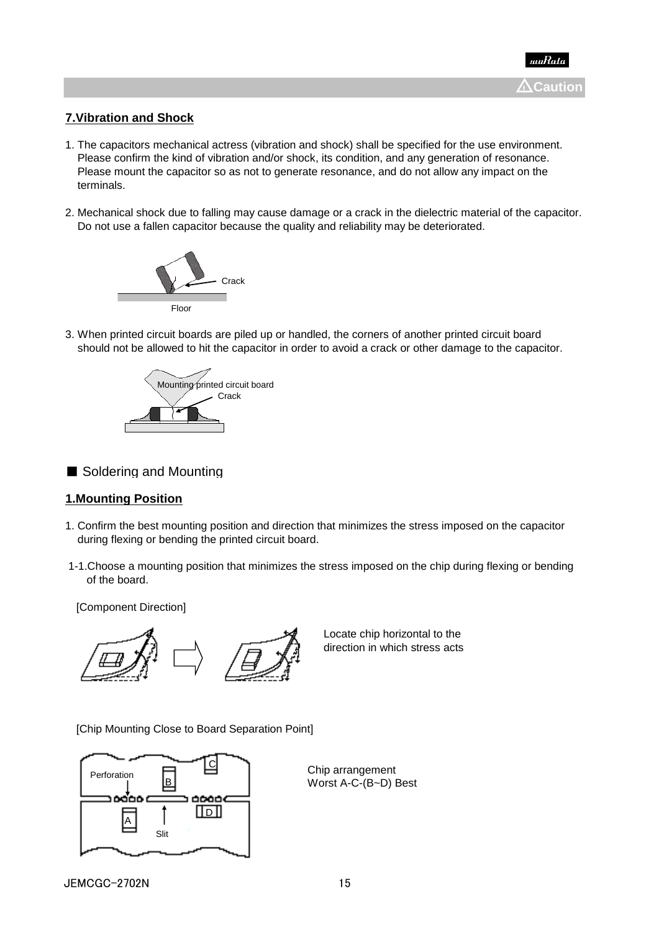

## **7.Vibration and Shock**

- 1. The capacitors mechanical actress (vibration and shock) shall be specified for the use environment. Please confirm the kind of vibration and/or shock, its condition, and any generation of resonance. Please mount the capacitor so as not to generate resonance, and do not allow any impact on the terminals.
- 2. Mechanical shock due to falling may cause damage or a crack in the dielectric material of the capacitor. Do not use a fallen capacitor because the quality and reliability may be deteriorated.



3. When printed circuit boards are piled up or handled, the corners of another printed circuit board should not be allowed to hit the capacitor in order to avoid a crack or other damage to the capacitor.



■ Soldering and Mounting

### **1.Mounting Position**

- 1. Confirm the best mounting position and direction that minimizes the stress imposed on the capacitor during flexing or bending the printed circuit board.
- 1-1.Choose a mounting position that minimizes the stress imposed on the chip during flexing or bending of the board.

[Component Direction]



Locate chip horizontal to the direction in which stress acts

[Chip Mounting Close to Board Separation Point]



Chip arrangement Worst A-C-(B~D) Best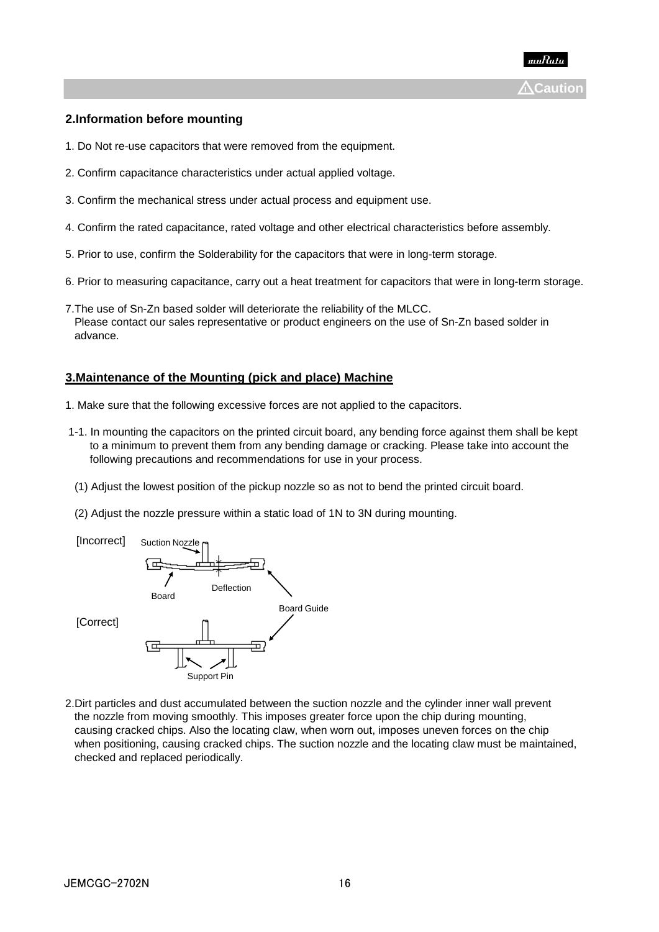

#### **2.Information before mounting**

- 1. Do Not re-use capacitors that were removed from the equipment.
- 2. Confirm capacitance characteristics under actual applied voltage.
- 3. Confirm the mechanical stress under actual process and equipment use.
- 4. Confirm the rated capacitance, rated voltage and other electrical characteristics before assembly.
- 5. Prior to use, confirm the Solderability for the capacitors that were in long-term storage.
- 6. Prior to measuring capacitance, carry out a heat treatment for capacitors that were in long-term storage.
- 7.The use of Sn-Zn based solder will deteriorate the reliability of the MLCC. Please contact our sales representative or product engineers on the use of Sn-Zn based solder in advance.

#### **3.Maintenance of the Mounting (pick and place) Machine**

- 1. Make sure that the following excessive forces are not applied to the capacitors.
- 1-1. In mounting the capacitors on the printed circuit board, any bending force against them shall be kept to a minimum to prevent them from any bending damage or cracking. Please take into account the following precautions and recommendations for use in your process.
- (1) Adjust the lowest position of the pickup nozzle so as not to bend the printed circuit board.
- (2) Adjust the nozzle pressure within a static load of 1N to 3N during mounting.



2.Dirt particles and dust accumulated between the suction nozzle and the cylinder inner wall prevent the nozzle from moving smoothly. This imposes greater force upon the chip during mounting, causing cracked chips. Also the locating claw, when worn out, imposes uneven forces on the chip when positioning, causing cracked chips. The suction nozzle and the locating claw must be maintained, checked and replaced periodically.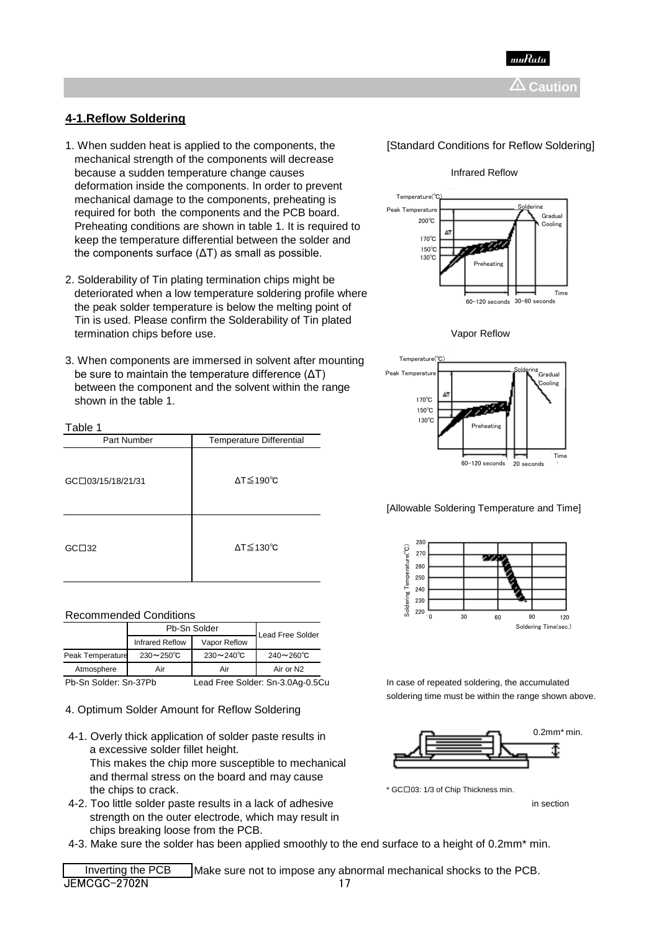

## **4-1.Reflow Soldering**

- 1. When sudden heat is applied to the components, the **[Standard Conditions for Reflow Soldering**] mechanical strength of the components will decrease because a sudden temperature change causes **Infrared Reflow** Infrared Reflow deformation inside the components. In order to prevent mechanical damage to the components, preheating is required for both the components and the PCB board. Preheating conditions are shown in table 1. It is required to keep the temperature differential between the solder and the components surface  $(ΔT)$  as small as possible.
- 2. Solderability of Tin plating termination chips might be deteriorated when a low temperature soldering profile where the peak solder temperature is below the melting point of Tin is used. Please confirm the Solderability of Tin plated termination chips before use. The contract of the contract of the value of the value of the value of the value of the value of the value of the value of the value of the value of the value of the value of the value of the
- 3. When components are immersed in solvent after mounting, be sure to maintain the temperature difference (ΔT) between the component and the solvent within the range shown in the table 1.

#### Table 1

| Part Number       | <b>Temperature Differential</b> |
|-------------------|---------------------------------|
| GC□03/15/18/21/31 | $\Delta T \leq 190^{\circ}C$    |
| GCD32             | $\Delta T \leq 130^{\circ}C$    |

#### Recommended Conditions

|                       |                          | Pb-Sn Solder             | Lead Free Solder               |
|-----------------------|--------------------------|--------------------------|--------------------------------|
|                       | Infrared Reflow          | Vapor Reflow             |                                |
| Peak Temperature      | $230 \sim 250^{\circ}$ C | $230 \sim 240^{\circ}$ C | $240 - 260^{\circ}C$           |
| Atmosphere            | Air                      | Air                      | Air or N2                      |
| Ph-Sn Solder: Sn-37Ph |                          |                          | ead Free Solder: Sn-3.0Ag-0.5C |

4. Optimum Solder Amount for Reflow Soldering

- 4-1. Overly thick application of solder paste results in a excessive solder fillet height. This makes the chip more susceptible to mechanical and thermal stress on the board and may cause the chips to crack. The chip to crack. The chip Thickness min.
- 4-2. Too little solder paste results in a lack of adhesive in section in section strength on the outer electrode, which may result in chips breaking loose from the PCB.
- 4-3. Make sure the solder has been applied smoothly to the end surface to a height of 0.2mm\* min.







#### [Allowable Soldering Temperature and Time]



In case of repeated soldering, the accumulated soldering time must be within the range shown above.



Inverting the PCB Make sure not to impose any abnormal mechanical shocks to the PCB. **JEMCGC-2702N** 17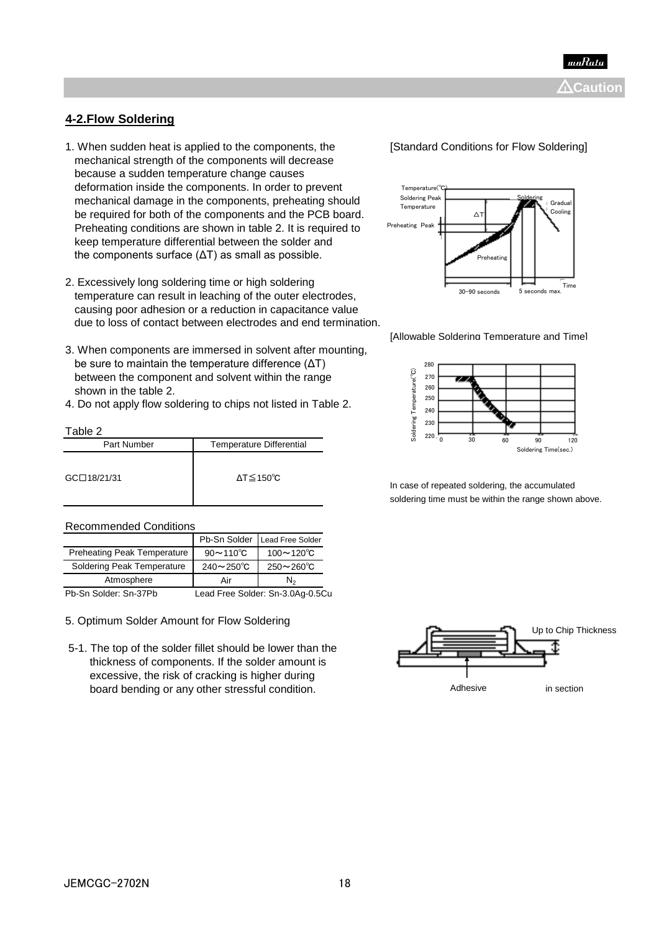

### **4-2.Flow Soldering**

- 1. When sudden heat is applied to the components, the **[Standard Conditions for Flow Soldering]**  mechanical strength of the components will decrease because a sudden temperature change causes deformation inside the components. In order to prevent mechanical damage in the components, preheating should be required for both of the components and the PCB board. Preheating conditions are shown in table 2. It is required to keep temperature differential between the solder and the components surface (ΔT) as small as possible.
- 2. Excessively long soldering time or high soldering temperature can result in leaching of the outer electrodes, causing poor adhesion or a reduction in capacitance value due to loss of contact between electrodes and end termination.
- 3. When components are immersed in solvent after mounting, be sure to maintain the temperature difference (ΔT) between the component and solvent within the range shown in the table 2.
- 4. Do not apply flow soldering to chips not listed in Table 2.

#### Table 2

| Part Number | <b>Temperature Differential</b> |
|-------------|---------------------------------|
| GC□18/21/31 | $\Delta T \leq 150^{\circ}C$    |

#### Recommended Conditions

|                                    |                          | Pb-Sn Solder Lead Free Solder |
|------------------------------------|--------------------------|-------------------------------|
| <b>Preheating Peak Temperature</b> | $90 \sim 110^{\circ}$ C  | $100 - 120^{\circ}C$          |
| Soldering Peak Temperature         | $240 \sim 250^{\circ}$ C | $250 - 260^{\circ}C$          |
| Atmosphere                         | Air                      | Ν.                            |

Pb-Sn Solder: Sn-37Pb Lead Free Solder: Sn-3.0Ag-0.5Cu

#### 5. Optimum Solder Amount for Flow Soldering

 5-1. The top of the solder fillet should be lower than the thickness of components. If the solder amount is excessive, the risk of cracking is higher during board bending or any other stressful condition. The matter of the section of the section of the section









In case of repeated soldering, the accumulated soldering time must be within the range shown above.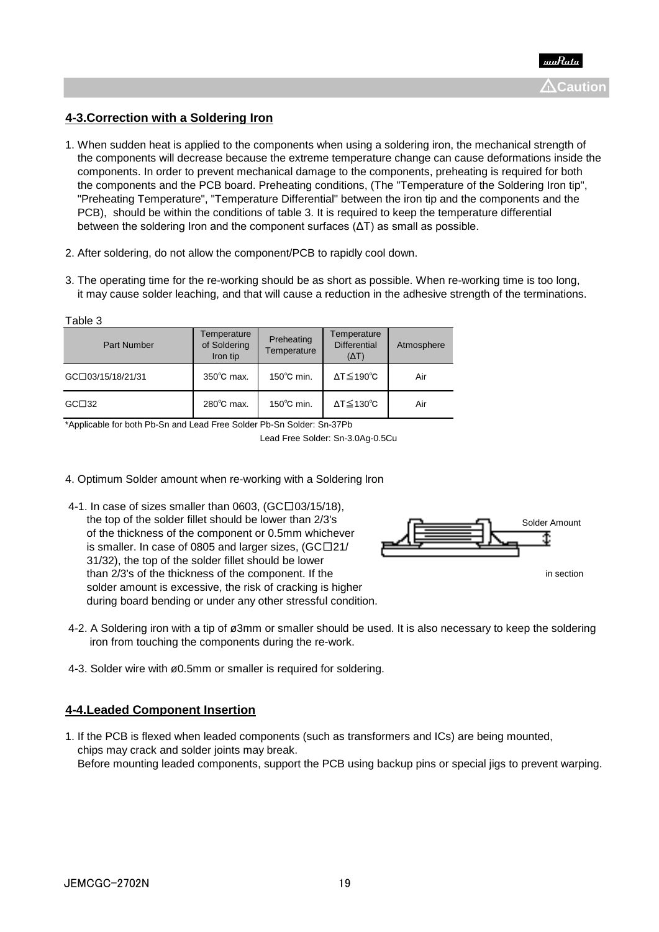## **4-3.Correction with a Soldering Iron**

- 1. When sudden heat is applied to the components when using a soldering iron, the mechanical strength of the components will decrease because the extreme temperature change can cause deformations inside the components. In order to prevent mechanical damage to the components, preheating is required for both the components and the PCB board. Preheating conditions, (The "Temperature of the Soldering Iron tip", "Preheating Temperature", "Temperature Differential" between the iron tip and the components and the PCB), should be within the conditions of table 3. It is required to keep the temperature differential between the soldering Iron and the component surfaces  $(ΔT)$  as small as possible.
- 2. After soldering, do not allow the component/PCB to rapidly cool down.
- 3. The operating time for the re-working should be as short as possible. When re-working time is too long, it may cause solder leaching, and that will cause a reduction in the adhesive strength of the terminations.

| Table 3            |                                         |                           |                                                    |            |
|--------------------|-----------------------------------------|---------------------------|----------------------------------------------------|------------|
| <b>Part Number</b> | Temperature<br>of Soldering<br>Iron tip | Preheating<br>Temperature | Temperature<br><b>Differential</b><br>$(\Delta T)$ | Atmosphere |
| GC□03/15/18/21/31  | $350^{\circ}$ C max.                    | $150^{\circ}$ C min.      | $\Delta T \leq 190^{\circ}C$                       | Air        |
| GCD32              | 280°C max.                              | $150^{\circ}$ C min.      | $\Delta T \leq 130^{\circ}C$                       | Air        |

\*Applicable for both Pb-Sn and Lead Free Solder Pb-Sn Solder: Sn-37Pb

- 4. Optimum Solder amount when re-working with a Soldering lron
- 4-1. In case of sizes smaller than 0603,  $(GCD03/15/18)$ . the top of the solder fillet should be lower than 2/3's of the thickness of the component or 0.5mm whichever is smaller. In case of 0805 and larger sizes, (GC□21/ 31/32), the top of the solder fillet should be lower than  $2/3$ 's of the thickness of the component. If the intervals are in section solder amount is excessive, the risk of cracking is higher during board bending or under any other stressful condition.



- 4-2. A Soldering iron with a tip of ø3mm or smaller should be used. It is also necessary to keep the soldering iron from touching the components during the re-work.
- 4-3. Solder wire with ø0.5mm or smaller is required for soldering.

### **4-4.Leaded Component Insertion**

1. If the PCB is flexed when leaded components (such as transformers and ICs) are being mounted, chips may crack and solder joints may break. Before mounting leaded components, support the PCB using backup pins or special jigs to prevent warping.

Lead Free Solder: Sn-3.0Ag-0.5Cu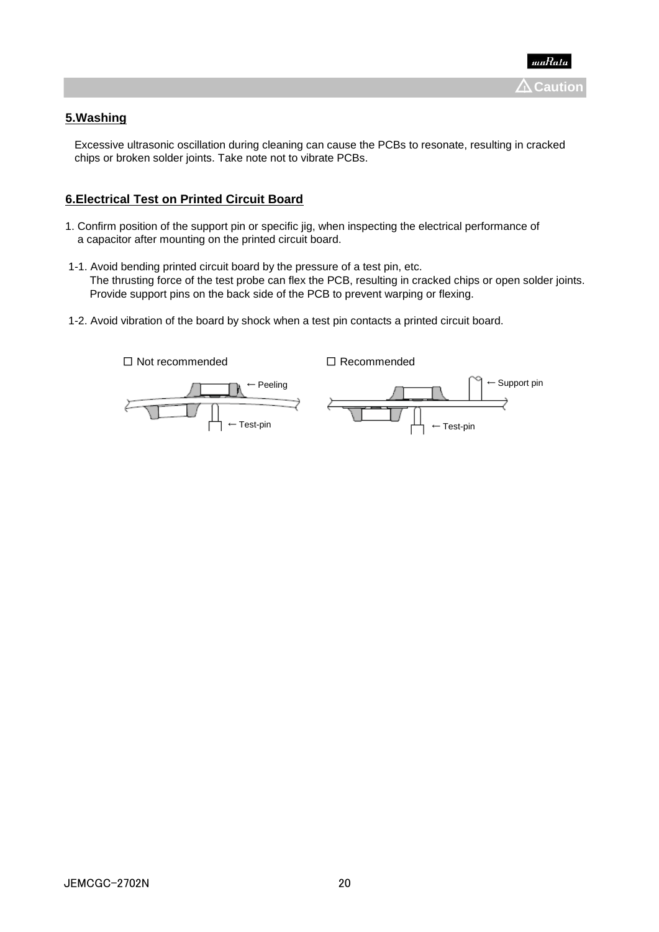

## **5.Washing**

 Excessive ultrasonic oscillation during cleaning can cause the PCBs to resonate, resulting in cracked chips or broken solder joints. Take note not to vibrate PCBs.

### **6.Electrical Test on Printed Circuit Board**

- 1. Confirm position of the support pin or specific jig, when inspecting the electrical performance of a capacitor after mounting on the printed circuit board.
- 1-1. Avoid bending printed circuit board by the pressure of a test pin, etc. The thrusting force of the test probe can flex the PCB, resulting in cracked chips or open solder joints. Provide support pins on the back side of the PCB to prevent warping or flexing.
- 1-2. Avoid vibration of the board by shock when a test pin contacts a printed circuit board.

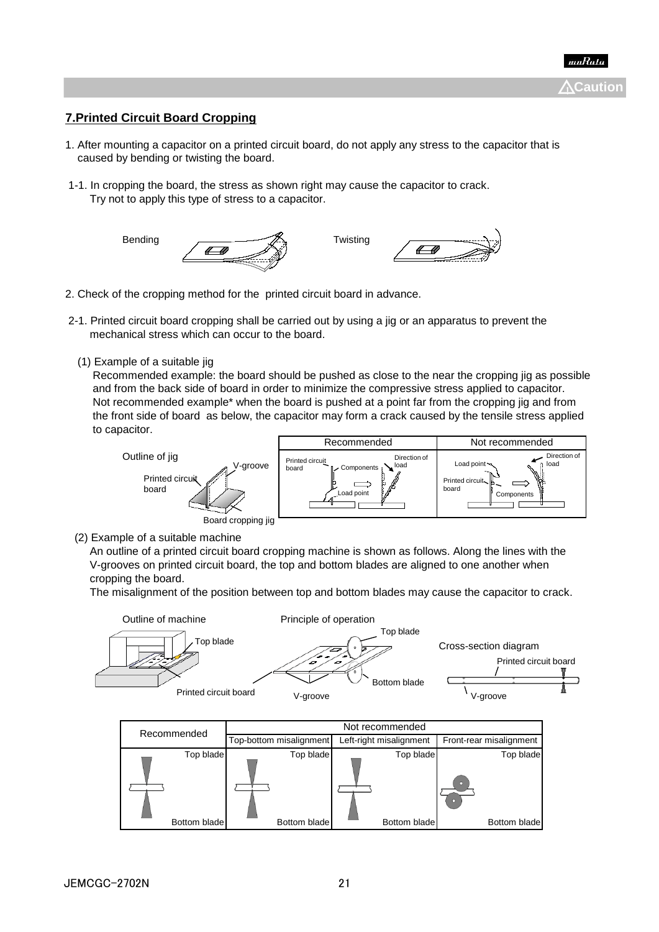**Caution** !

## **7.Printed Circuit Board Cropping**

- 1. After mounting a capacitor on a printed circuit board, do not apply any stress to the capacitor that is caused by bending or twisting the board.
- 1-1. In cropping the board, the stress as shown right may cause the capacitor to crack. Try not to apply this type of stress to a capacitor.



- 2. Check of the cropping method for the printed circuit board in advance.
- 2-1. Printed circuit board cropping shall be carried out by using a jig or an apparatus to prevent the mechanical stress which can occur to the board.
	- (1) Example of a suitable jig

 Recommended example: the board should be pushed as close to the near the cropping jig as possible and from the back side of board in order to minimize the compressive stress applied to capacitor. Not recommended example\* when the board is pushed at a point far from the cropping jig and from the front side of board as below, the capacitor may form a crack caused by the tensile stress applied to capacitor.



(2) Example of a suitable machine

 An outline of a printed circuit board cropping machine is shown as follows. Along the lines with the V-grooves on printed circuit board, the top and bottom blades are aligned to one another when cropping the board.

The misalignment of the position between top and bottom blades may cause the capacitor to crack.



| Recommended  | Top-bottom misalignment | Left-right misalignment | Front-rear misalignment |
|--------------|-------------------------|-------------------------|-------------------------|
| Top blade    | Top blade               | Top blade               | Top blade<br>$\Box$     |
| Bottom blade | Bottom blade            | Bottom blade            | Bottom blade            |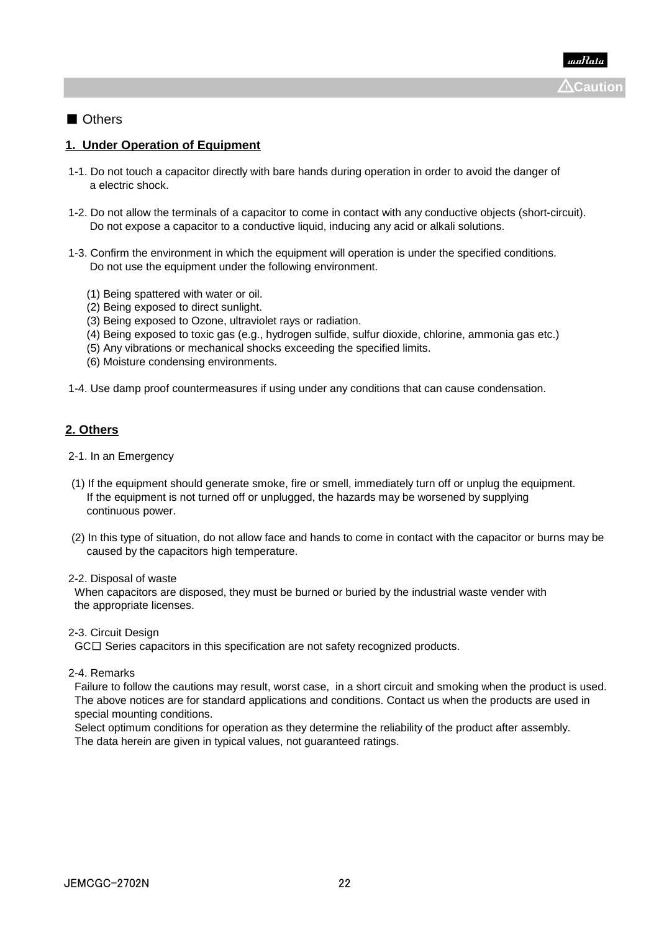## ■ Others

### **1. Under Operation of Equipment**

- 1-1. Do not touch a capacitor directly with bare hands during operation in order to avoid the danger of a electric shock.
- 1-2. Do not allow the terminals of a capacitor to come in contact with any conductive objects (short-circuit). Do not expose a capacitor to a conductive liquid, inducing any acid or alkali solutions.
- 1-3. Confirm the environment in which the equipment will operation is under the specified conditions. Do not use the equipment under the following environment.
	- (1) Being spattered with water or oil.
	- (2) Being exposed to direct sunlight.
	- (3) Being exposed to Ozone, ultraviolet rays or radiation.
	- (4) Being exposed to toxic gas (e.g., hydrogen sulfide, sulfur dioxide, chlorine, ammonia gas etc.)
	- (5) Any vibrations or mechanical shocks exceeding the specified limits.
	- (6) Moisture condensing environments.
- 1-4. Use damp proof countermeasures if using under any conditions that can cause condensation.

## **2. Others**

- 2-1. In an Emergency
- (1) If the equipment should generate smoke, fire or smell, immediately turn off or unplug the equipment. If the equipment is not turned off or unplugged, the hazards may be worsened by supplying continuous power.
- (2) In this type of situation, do not allow face and hands to come in contact with the capacitor or burns may be caused by the capacitors high temperature.

#### 2-2. Disposal of waste

 When capacitors are disposed, they must be burned or buried by the industrial waste vender with the appropriate licenses.

2-3. Circuit Design

GC□ Series capacitors in this specification are not safety recognized products.

2-4. Remarks

 Failure to follow the cautions may result, worst case, in a short circuit and smoking when the product is used. The above notices are for standard applications and conditions. Contact us when the products are used in special mounting conditions.

 Select optimum conditions for operation as they determine the reliability of the product after assembly. The data herein are given in typical values, not guaranteed ratings.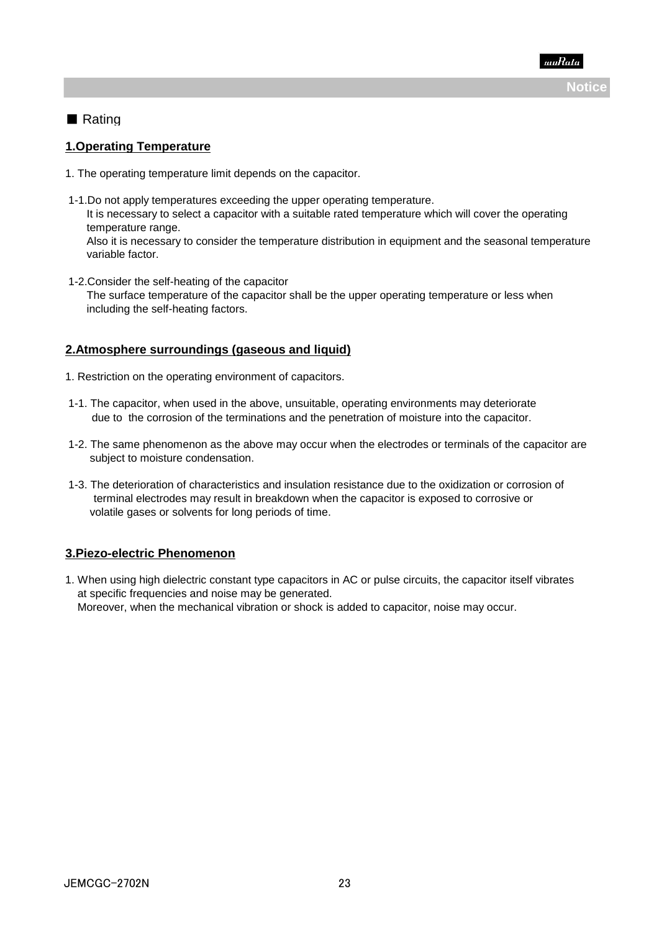

## ■ Rating

#### **1.Operating Temperature**

- 1. The operating temperature limit depends on the capacitor.
- 1-1.Do not apply temperatures exceeding the upper operating temperature. It is necessary to select a capacitor with a suitable rated temperature which will cover the operating temperature range.

 Also it is necessary to consider the temperature distribution in equipment and the seasonal temperature variable factor.

 1-2.Consider the self-heating of the capacitor The surface temperature of the capacitor shall be the upper operating temperature or less when including the self-heating factors.

#### **2.Atmosphere surroundings (gaseous and liquid)**

- 1. Restriction on the operating environment of capacitors.
- 1-1. The capacitor, when used in the above, unsuitable, operating environments may deteriorate due to the corrosion of the terminations and the penetration of moisture into the capacitor.
- 1-2. The same phenomenon as the above may occur when the electrodes or terminals of the capacitor are subject to moisture condensation.
- 1-3. The deterioration of characteristics and insulation resistance due to the oxidization or corrosion of terminal electrodes may result in breakdown when the capacitor is exposed to corrosive or volatile gases or solvents for long periods of time.

### **3.Piezo-electric Phenomenon**

1. When using high dielectric constant type capacitors in AC or pulse circuits, the capacitor itself vibrates at specific frequencies and noise may be generated. Moreover, when the mechanical vibration or shock is added to capacitor, noise may occur.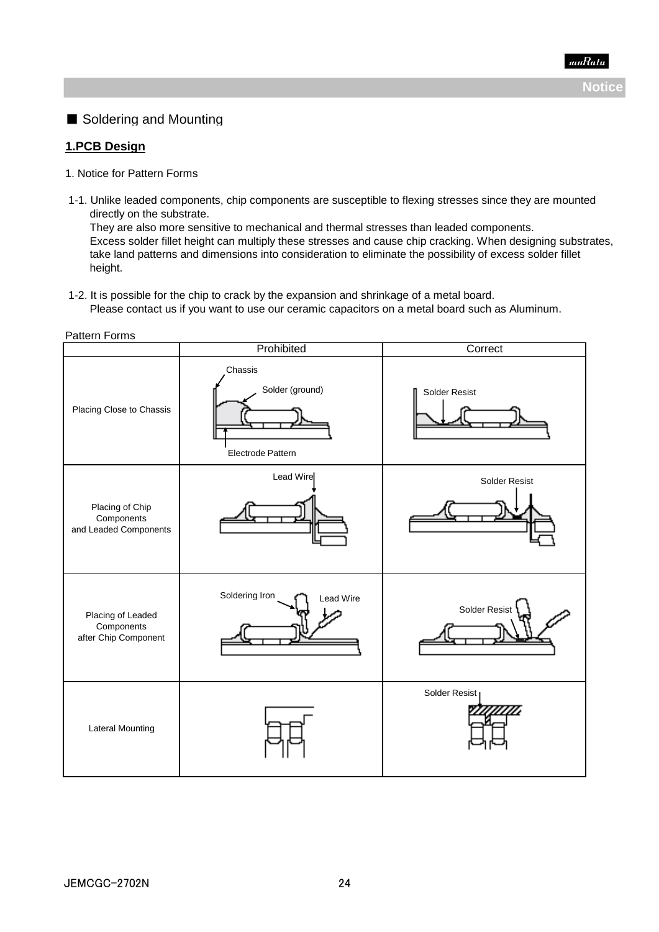# ■ Soldering and Mounting

### **1.PCB Design**

- 1. Notice for Pattern Forms
- 1-1. Unlike leaded components, chip components are susceptible to flexing stresses since they are mounted directly on the substrate.

 They are also more sensitive to mechanical and thermal stresses than leaded components. Excess solder fillet height can multiply these stresses and cause chip cracking. When designing substrates, take land patterns and dimensions into consideration to eliminate the possibility of excess solder fillet height.

1-2. It is possible for the chip to crack by the expansion and shrinkage of a metal board.

Please contact us if you want to use our ceramic capacitors on a metal board such as Aluminum.

Pattern Forms

|                                                         | Prohibited                                      | Correct       |  |
|---------------------------------------------------------|-------------------------------------------------|---------------|--|
| Placing Close to Chassis                                | Chassis<br>Solder (ground)<br>Electrode Pattern | Solder Resist |  |
| Placing of Chip<br>Components<br>and Leaded Components  | Lead Wire                                       | Solder Resist |  |
| Placing of Leaded<br>Components<br>after Chip Component | Soldering Iron<br>Lead Wire                     | Solder Resist |  |
| <b>Lateral Mounting</b>                                 |                                                 | Solder Resist |  |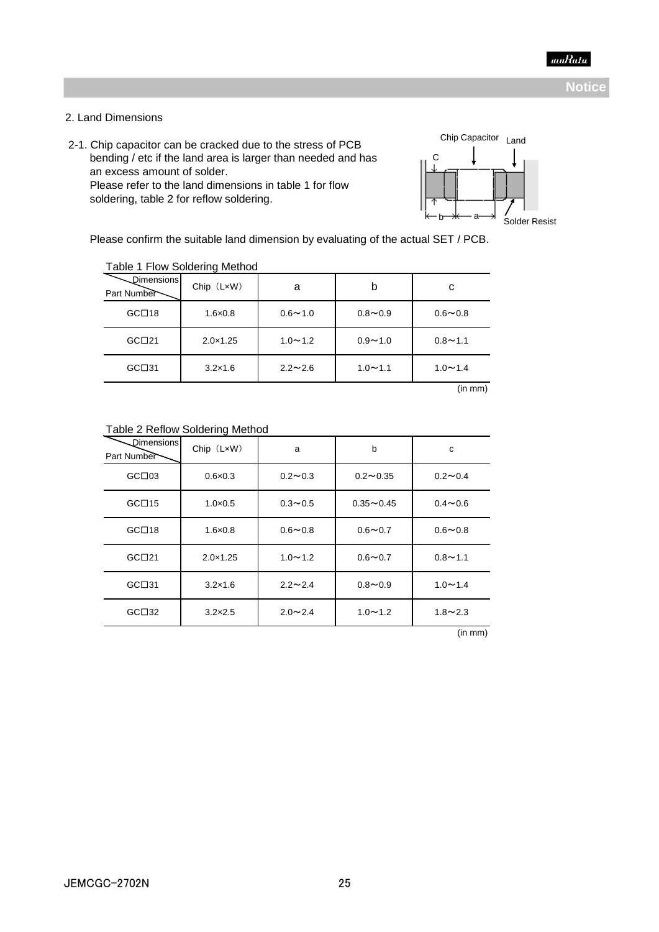

#### 2. Land Dimensions

2-1. Chip capacitor can be cracked due to the stress of PCB

 bending / etc if the land area is larger than needed and has an excess amount of solder. Please refer to the land dimensions in table 1 for flow soldering, table 2 for reflow soldering.



Please confirm the suitable land dimension by evaluating of the actual SET / PCB.

|                           | <b>EQUIPMENT CONCERTING INTO THE STATE</b> |                |             |                |
|---------------------------|--------------------------------------------|----------------|-------------|----------------|
| Dimensions<br>Part Number | $Chip$ $(LxW)$                             | a              | b           | с              |
| GCD18                     | $1.6 \times 0.8$                           | $0.6 - 1.0$    | $0.8 - 0.9$ | $0.6 - 0.8$    |
| GCD21                     | $2.0 \times 1.25$                          | $1.0 - 1.2$    | $0.9 - 1.0$ | $0.8 - 1.1$    |
| GCD31                     | $3.2 \times 1.6$                           | $2.2 \sim 2.6$ | $1.0 - 1.1$ | $1.0 \sim 1.4$ |

#### Table 1 Flow Soldering Method

(in mm)

|                            | …… ∍              |                |               |                |
|----------------------------|-------------------|----------------|---------------|----------------|
| Dimensionsl<br>Part Number | Chip (LxW)        | a              | b             | c              |
| GCD03                      | $0.6 \times 0.3$  | $0.2 - 0.3$    | $0.2 - 0.35$  | $0.2 - 0.4$    |
| GCD15                      | $1.0 \times 0.5$  | $0.3 - 0.5$    | $0.35 - 0.45$ | $0.4 - 0.6$    |
| GCD18                      | $1.6 \times 0.8$  | $0.6 - 0.8$    | $0.6 - 0.7$   | $0.6 - 0.8$    |
| GCD21                      | $2.0 \times 1.25$ | $1.0 - 1.2$    | $0.6 - 0.7$   | $0.8 - 1.1$    |
| GCD31                      | $3.2 \times 1.6$  | $2.2 \sim 2.4$ | $0.8 - 0.9$   | $1.0 \sim 1.4$ |
| GCD32                      | $3.2 \times 2.5$  | $2.0 \sim 2.4$ | $1.0 - 1.2$   | $1.8 - 2.3$    |

#### Table 2 Reflow Soldering Method

(in mm)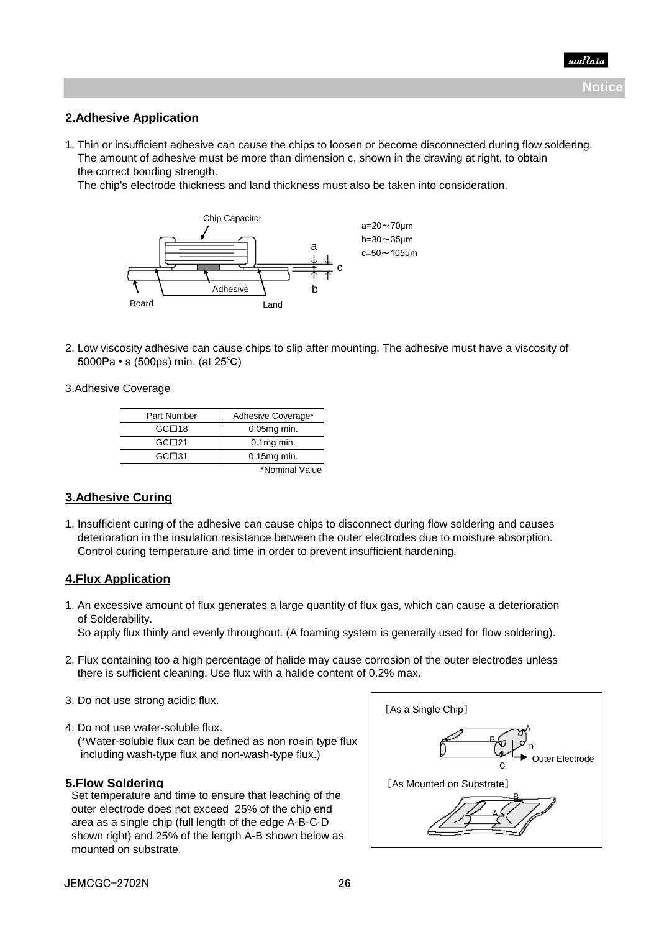### **2.Adhesive Application**

1. Thin or insufficient adhesive can cause the chips to loosen or become disconnected during flow soldering. The amount of adhesive must be more than dimension c, shown in the drawing at right, to obtain the correct bonding strength.

The chip's electrode thickness and land thickness must also be taken into consideration.



2. Low viscosity adhesive can cause chips to slip after mounting. The adhesive must have a viscosity of 5000Pa • s (500ps) min. (at 25℃)

#### 3.Adhesive Coverage

| Part Number | Adhesive Coverage* |
|-------------|--------------------|
| GCD18       | $0.05mg$ min.      |
| GCD21       | $0.1$ mg min.      |
| GCD31       | $0.15mg$ min.      |
|             | *Nominal Value     |

### **3.Adhesive Curing**

1. Insufficient curing of the adhesive can cause chips to disconnect during flow soldering and causes deterioration in the insulation resistance between the outer electrodes due to moisture absorption. Control curing temperature and time in order to prevent insufficient hardening.

#### **4.Flux Application**

1. An excessive amount of flux generates a large quantity of flux gas, which can cause a deterioration of Solderability.

So apply flux thinly and evenly throughout. (A foaming system is generally used for flow soldering).

- 2. Flux containing too a high percentage of halide may cause corrosion of the outer electrodes unless there is sufficient cleaning. Use flux with a halide content of 0.2% max.
- 3. Do not use strong acidic flux.
- 4. Do not use water-soluble flux. (\*Water-soluble flux can be defined as non rosin type flux including wash-type flux and non-wash-type flux.)

#### **5.Flow Soldering**

 Set temperature and time to ensure that leaching of the outer electrode does not exceed 25% of the chip end area as a single chip (full length of the edge A-B-C-D shown right) and 25% of the length A-B shown below as mounted on substrate.

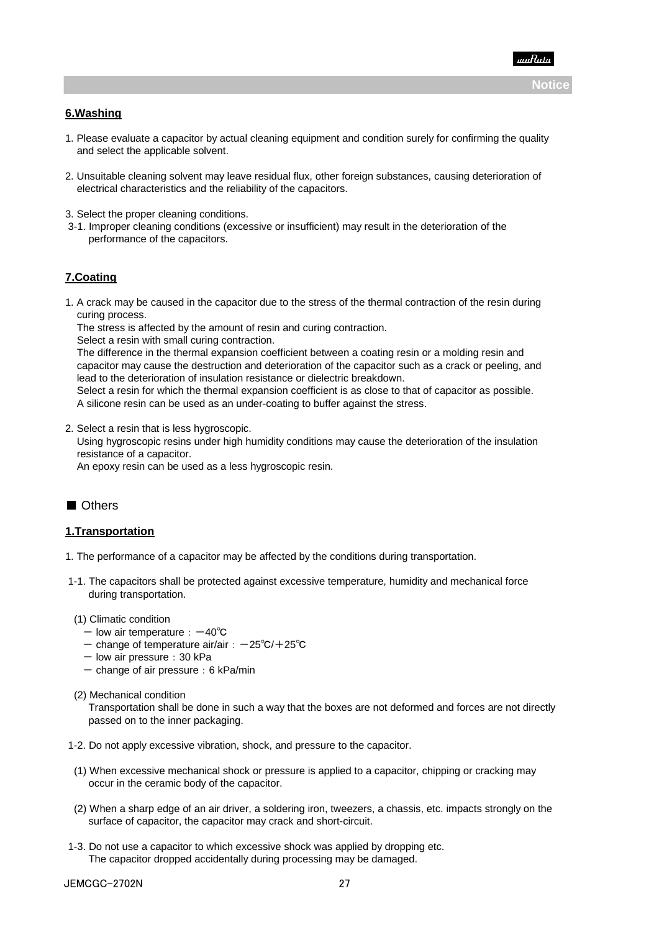

#### **6.Washing**

- 1. Please evaluate a capacitor by actual cleaning equipment and condition surely for confirming the quality and select the applicable solvent.
- 2. Unsuitable cleaning solvent may leave residual flux, other foreign substances, causing deterioration of electrical characteristics and the reliability of the capacitors.
- 3. Select the proper cleaning conditions.
- 3-1. Improper cleaning conditions (excessive or insufficient) may result in the deterioration of the performance of the capacitors.

#### **7.Coating**

1. A crack may be caused in the capacitor due to the stress of the thermal contraction of the resin during curing process.

The stress is affected by the amount of resin and curing contraction.

Select a resin with small curing contraction.

 The difference in the thermal expansion coefficient between a coating resin or a molding resin and capacitor may cause the destruction and deterioration of the capacitor such as a crack or peeling, and lead to the deterioration of insulation resistance or dielectric breakdown.

 Select a resin for which the thermal expansion coefficient is as close to that of capacitor as possible. A silicone resin can be used as an under-coating to buffer against the stress.

2. Select a resin that is less hygroscopic.

 Using hygroscopic resins under high humidity conditions may cause the deterioration of the insulation resistance of a capacitor.

An epoxy resin can be used as a less hygroscopic resin.

### ■ Others

#### **1.Transportation**

- 1. The performance of a capacitor may be affected by the conditions during transportation.
- 1-1. The capacitors shall be protected against excessive temperature, humidity and mechanical force during transportation.
- (1) Climatic condition
	- low air temperature: -40℃
	- change of temperature air/air:-25℃/+25℃
	- $-$  low air pressure: 30 kPa
	- $-$  change of air pressure: 6 kPa/min
- (2) Mechanical condition

 Transportation shall be done in such a way that the boxes are not deformed and forces are not directly passed on to the inner packaging.

- 1-2. Do not apply excessive vibration, shock, and pressure to the capacitor.
- (1) When excessive mechanical shock or pressure is applied to a capacitor, chipping or cracking may occur in the ceramic body of the capacitor.
- (2) When a sharp edge of an air driver, a soldering iron, tweezers, a chassis, etc. impacts strongly on the surface of capacitor, the capacitor may crack and short-circuit.
- 1-3. Do not use a capacitor to which excessive shock was applied by dropping etc. The capacitor dropped accidentally during processing may be damaged.